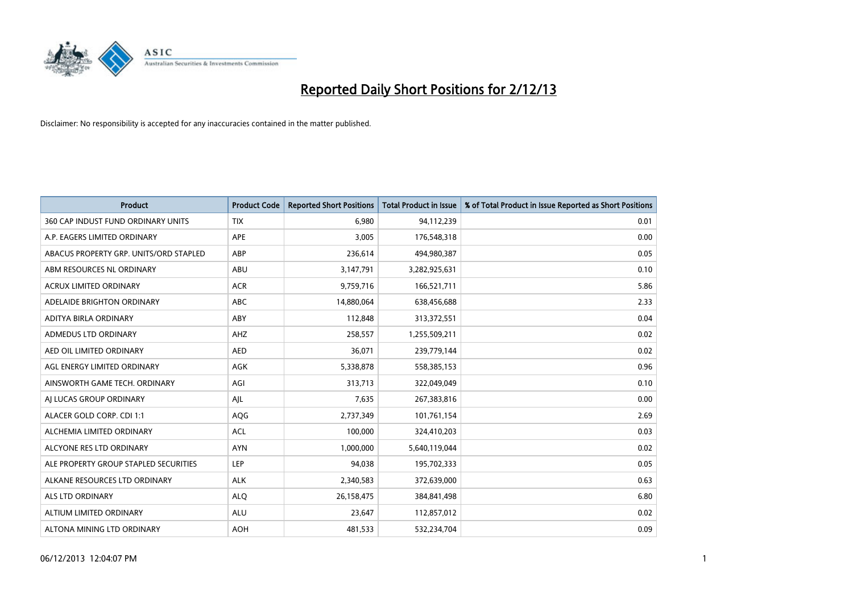

| <b>Product</b>                         | <b>Product Code</b> | <b>Reported Short Positions</b> | <b>Total Product in Issue</b> | % of Total Product in Issue Reported as Short Positions |
|----------------------------------------|---------------------|---------------------------------|-------------------------------|---------------------------------------------------------|
| 360 CAP INDUST FUND ORDINARY UNITS     | <b>TIX</b>          | 6,980                           | 94,112,239                    | 0.01                                                    |
| A.P. EAGERS LIMITED ORDINARY           | APE                 | 3,005                           | 176,548,318                   | 0.00                                                    |
| ABACUS PROPERTY GRP. UNITS/ORD STAPLED | ABP                 | 236,614                         | 494,980,387                   | 0.05                                                    |
| ABM RESOURCES NL ORDINARY              | ABU                 | 3,147,791                       | 3,282,925,631                 | 0.10                                                    |
| <b>ACRUX LIMITED ORDINARY</b>          | <b>ACR</b>          | 9,759,716                       | 166,521,711                   | 5.86                                                    |
| ADELAIDE BRIGHTON ORDINARY             | <b>ABC</b>          | 14,880,064                      | 638,456,688                   | 2.33                                                    |
| ADITYA BIRLA ORDINARY                  | ABY                 | 112,848                         | 313,372,551                   | 0.04                                                    |
| ADMEDUS LTD ORDINARY                   | AHZ                 | 258,557                         | 1,255,509,211                 | 0.02                                                    |
| AED OIL LIMITED ORDINARY               | <b>AED</b>          | 36,071                          | 239,779,144                   | 0.02                                                    |
| AGL ENERGY LIMITED ORDINARY            | <b>AGK</b>          | 5,338,878                       | 558,385,153                   | 0.96                                                    |
| AINSWORTH GAME TECH. ORDINARY          | AGI                 | 313,713                         | 322,049,049                   | 0.10                                                    |
| AI LUCAS GROUP ORDINARY                | AJL                 | 7,635                           | 267,383,816                   | 0.00                                                    |
| ALACER GOLD CORP. CDI 1:1              | AQG                 | 2,737,349                       | 101,761,154                   | 2.69                                                    |
| ALCHEMIA LIMITED ORDINARY              | <b>ACL</b>          | 100,000                         | 324,410,203                   | 0.03                                                    |
| ALCYONE RES LTD ORDINARY               | <b>AYN</b>          | 1,000,000                       | 5,640,119,044                 | 0.02                                                    |
| ALE PROPERTY GROUP STAPLED SECURITIES  | LEP                 | 94,038                          | 195,702,333                   | 0.05                                                    |
| ALKANE RESOURCES LTD ORDINARY          | <b>ALK</b>          | 2,340,583                       | 372,639,000                   | 0.63                                                    |
| <b>ALS LTD ORDINARY</b>                | <b>ALQ</b>          | 26,158,475                      | 384,841,498                   | 6.80                                                    |
| ALTIUM LIMITED ORDINARY                | <b>ALU</b>          | 23,647                          | 112,857,012                   | 0.02                                                    |
| ALTONA MINING LTD ORDINARY             | <b>AOH</b>          | 481,533                         | 532,234,704                   | 0.09                                                    |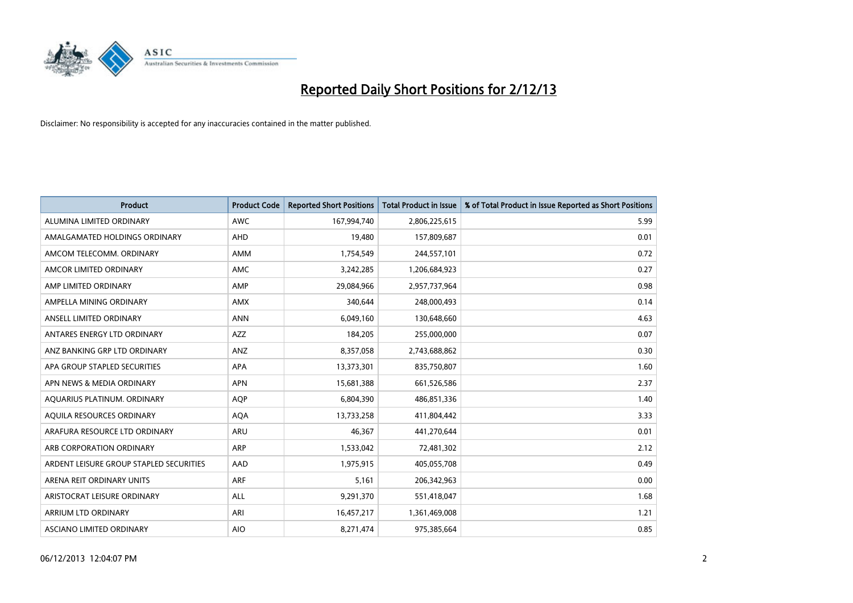

| <b>Product</b>                          | <b>Product Code</b> | <b>Reported Short Positions</b> | <b>Total Product in Issue</b> | % of Total Product in Issue Reported as Short Positions |
|-----------------------------------------|---------------------|---------------------------------|-------------------------------|---------------------------------------------------------|
| ALUMINA LIMITED ORDINARY                | <b>AWC</b>          | 167,994,740                     | 2,806,225,615                 | 5.99                                                    |
| AMALGAMATED HOLDINGS ORDINARY           | AHD                 | 19,480                          | 157,809,687                   | 0.01                                                    |
| AMCOM TELECOMM, ORDINARY                | AMM                 | 1,754,549                       | 244,557,101                   | 0.72                                                    |
| AMCOR LIMITED ORDINARY                  | <b>AMC</b>          | 3,242,285                       | 1,206,684,923                 | 0.27                                                    |
| AMP LIMITED ORDINARY                    | AMP                 | 29,084,966                      | 2,957,737,964                 | 0.98                                                    |
| AMPELLA MINING ORDINARY                 | <b>AMX</b>          | 340,644                         | 248,000,493                   | 0.14                                                    |
| ANSELL LIMITED ORDINARY                 | <b>ANN</b>          | 6,049,160                       | 130,648,660                   | 4.63                                                    |
| ANTARES ENERGY LTD ORDINARY             | AZZ                 | 184,205                         | 255,000,000                   | 0.07                                                    |
| ANZ BANKING GRP LTD ORDINARY            | ANZ                 | 8,357,058                       | 2,743,688,862                 | 0.30                                                    |
| APA GROUP STAPLED SECURITIES            | <b>APA</b>          | 13,373,301                      | 835,750,807                   | 1.60                                                    |
| APN NEWS & MEDIA ORDINARY               | <b>APN</b>          | 15,681,388                      | 661,526,586                   | 2.37                                                    |
| AQUARIUS PLATINUM. ORDINARY             | <b>AOP</b>          | 6,804,390                       | 486,851,336                   | 1.40                                                    |
| AQUILA RESOURCES ORDINARY               | <b>AQA</b>          | 13,733,258                      | 411,804,442                   | 3.33                                                    |
| ARAFURA RESOURCE LTD ORDINARY           | <b>ARU</b>          | 46,367                          | 441,270,644                   | 0.01                                                    |
| ARB CORPORATION ORDINARY                | ARP                 | 1,533,042                       | 72,481,302                    | 2.12                                                    |
| ARDENT LEISURE GROUP STAPLED SECURITIES | AAD                 | 1,975,915                       | 405,055,708                   | 0.49                                                    |
| ARENA REIT ORDINARY UNITS               | ARF                 | 5,161                           | 206,342,963                   | 0.00                                                    |
| ARISTOCRAT LEISURE ORDINARY             | <b>ALL</b>          | 9,291,370                       | 551,418,047                   | 1.68                                                    |
| ARRIUM LTD ORDINARY                     | ARI                 | 16,457,217                      | 1,361,469,008                 | 1.21                                                    |
| ASCIANO LIMITED ORDINARY                | <b>AIO</b>          | 8,271,474                       | 975,385,664                   | 0.85                                                    |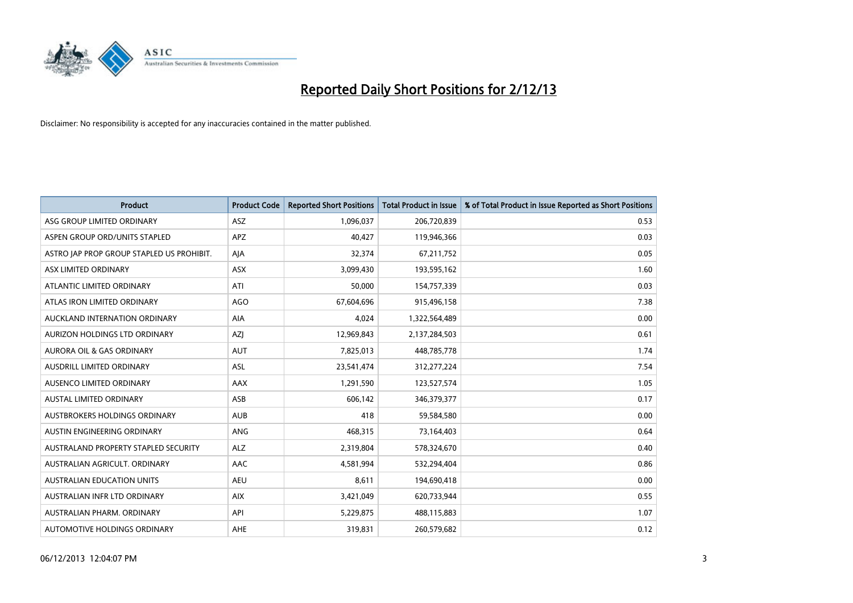

| <b>Product</b>                            | <b>Product Code</b> | <b>Reported Short Positions</b> | <b>Total Product in Issue</b> | % of Total Product in Issue Reported as Short Positions |
|-------------------------------------------|---------------------|---------------------------------|-------------------------------|---------------------------------------------------------|
| ASG GROUP LIMITED ORDINARY                | ASZ                 | 1,096,037                       | 206,720,839                   | 0.53                                                    |
| ASPEN GROUP ORD/UNITS STAPLED             | APZ                 | 40,427                          | 119,946,366                   | 0.03                                                    |
| ASTRO JAP PROP GROUP STAPLED US PROHIBIT. | AJA                 | 32,374                          | 67,211,752                    | 0.05                                                    |
| ASX LIMITED ORDINARY                      | ASX                 | 3,099,430                       | 193,595,162                   | 1.60                                                    |
| ATLANTIC LIMITED ORDINARY                 | ATI                 | 50,000                          | 154,757,339                   | 0.03                                                    |
| ATLAS IRON LIMITED ORDINARY               | <b>AGO</b>          | 67,604,696                      | 915,496,158                   | 7.38                                                    |
| AUCKLAND INTERNATION ORDINARY             | AIA                 | 4,024                           | 1,322,564,489                 | 0.00                                                    |
| AURIZON HOLDINGS LTD ORDINARY             | AZJ                 | 12,969,843                      | 2,137,284,503                 | 0.61                                                    |
| <b>AURORA OIL &amp; GAS ORDINARY</b>      | <b>AUT</b>          | 7,825,013                       | 448,785,778                   | 1.74                                                    |
| AUSDRILL LIMITED ORDINARY                 | <b>ASL</b>          | 23,541,474                      | 312,277,224                   | 7.54                                                    |
| AUSENCO LIMITED ORDINARY                  | AAX                 | 1,291,590                       | 123,527,574                   | 1.05                                                    |
| AUSTAL LIMITED ORDINARY                   | ASB                 | 606,142                         | 346,379,377                   | 0.17                                                    |
| AUSTBROKERS HOLDINGS ORDINARY             | <b>AUB</b>          | 418                             | 59,584,580                    | 0.00                                                    |
| AUSTIN ENGINEERING ORDINARY               | ANG                 | 468,315                         | 73,164,403                    | 0.64                                                    |
| AUSTRALAND PROPERTY STAPLED SECURITY      | <b>ALZ</b>          | 2,319,804                       | 578,324,670                   | 0.40                                                    |
| AUSTRALIAN AGRICULT. ORDINARY             | AAC                 | 4,581,994                       | 532,294,404                   | 0.86                                                    |
| <b>AUSTRALIAN EDUCATION UNITS</b>         | <b>AEU</b>          | 8,611                           | 194,690,418                   | 0.00                                                    |
| AUSTRALIAN INFR LTD ORDINARY              | <b>AIX</b>          | 3,421,049                       | 620,733,944                   | 0.55                                                    |
| AUSTRALIAN PHARM, ORDINARY                | API                 | 5,229,875                       | 488,115,883                   | 1.07                                                    |
| AUTOMOTIVE HOLDINGS ORDINARY              | <b>AHE</b>          | 319,831                         | 260,579,682                   | 0.12                                                    |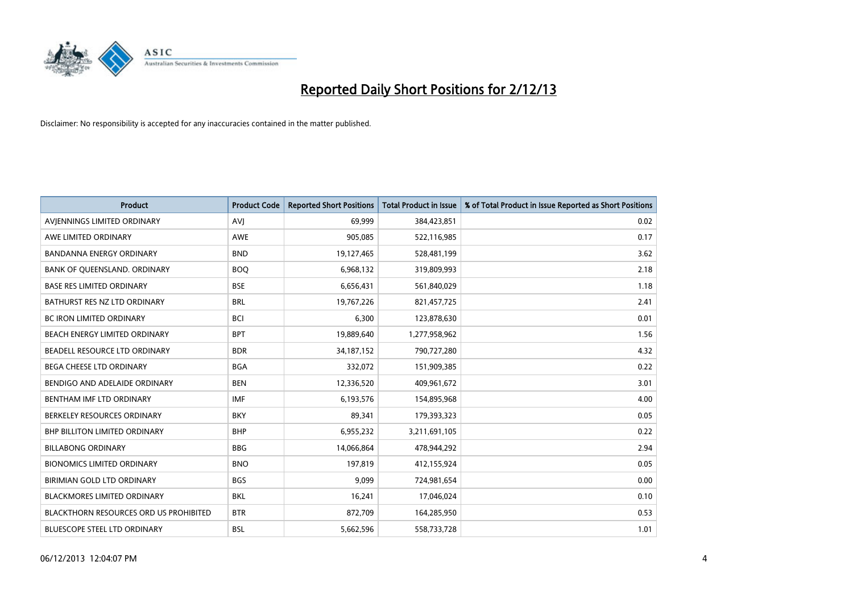

| <b>Product</b>                                | <b>Product Code</b> | <b>Reported Short Positions</b> | <b>Total Product in Issue</b> | % of Total Product in Issue Reported as Short Positions |
|-----------------------------------------------|---------------------|---------------------------------|-------------------------------|---------------------------------------------------------|
| AVIENNINGS LIMITED ORDINARY                   | <b>AVJ</b>          | 69,999                          | 384,423,851                   | 0.02                                                    |
| AWE LIMITED ORDINARY                          | <b>AWE</b>          | 905,085                         | 522,116,985                   | 0.17                                                    |
| <b>BANDANNA ENERGY ORDINARY</b>               | <b>BND</b>          | 19,127,465                      | 528,481,199                   | 3.62                                                    |
| BANK OF QUEENSLAND. ORDINARY                  | <b>BOO</b>          | 6,968,132                       | 319,809,993                   | 2.18                                                    |
| <b>BASE RES LIMITED ORDINARY</b>              | <b>BSE</b>          | 6,656,431                       | 561,840,029                   | 1.18                                                    |
| BATHURST RES NZ LTD ORDINARY                  | <b>BRL</b>          | 19,767,226                      | 821,457,725                   | 2.41                                                    |
| <b>BC IRON LIMITED ORDINARY</b>               | <b>BCI</b>          | 6,300                           | 123,878,630                   | 0.01                                                    |
| BEACH ENERGY LIMITED ORDINARY                 | <b>BPT</b>          | 19,889,640                      | 1,277,958,962                 | 1.56                                                    |
| BEADELL RESOURCE LTD ORDINARY                 | <b>BDR</b>          | 34,187,152                      | 790,727,280                   | 4.32                                                    |
| <b>BEGA CHEESE LTD ORDINARY</b>               | <b>BGA</b>          | 332,072                         | 151,909,385                   | 0.22                                                    |
| BENDIGO AND ADELAIDE ORDINARY                 | <b>BEN</b>          | 12,336,520                      | 409,961,672                   | 3.01                                                    |
| BENTHAM IMF LTD ORDINARY                      | <b>IMF</b>          | 6,193,576                       | 154,895,968                   | 4.00                                                    |
| BERKELEY RESOURCES ORDINARY                   | <b>BKY</b>          | 89,341                          | 179,393,323                   | 0.05                                                    |
| <b>BHP BILLITON LIMITED ORDINARY</b>          | <b>BHP</b>          | 6,955,232                       | 3,211,691,105                 | 0.22                                                    |
| <b>BILLABONG ORDINARY</b>                     | <b>BBG</b>          | 14,066,864                      | 478,944,292                   | 2.94                                                    |
| <b>BIONOMICS LIMITED ORDINARY</b>             | <b>BNO</b>          | 197,819                         | 412,155,924                   | 0.05                                                    |
| BIRIMIAN GOLD LTD ORDINARY                    | <b>BGS</b>          | 9,099                           | 724,981,654                   | 0.00                                                    |
| <b>BLACKMORES LIMITED ORDINARY</b>            | <b>BKL</b>          | 16,241                          | 17,046,024                    | 0.10                                                    |
| <b>BLACKTHORN RESOURCES ORD US PROHIBITED</b> | <b>BTR</b>          | 872,709                         | 164,285,950                   | 0.53                                                    |
| <b>BLUESCOPE STEEL LTD ORDINARY</b>           | <b>BSL</b>          | 5,662,596                       | 558,733,728                   | 1.01                                                    |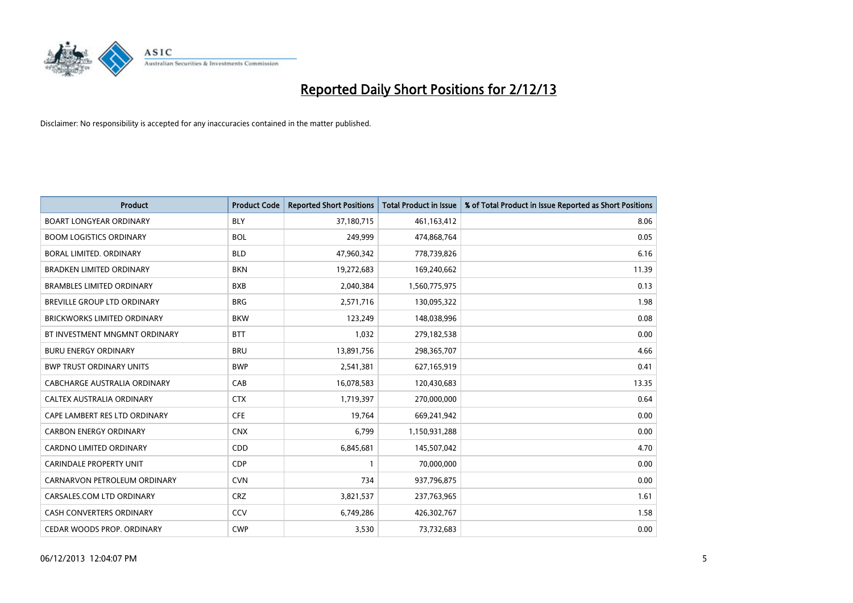

| <b>Product</b>                     | <b>Product Code</b> | <b>Reported Short Positions</b> | <b>Total Product in Issue</b> | % of Total Product in Issue Reported as Short Positions |
|------------------------------------|---------------------|---------------------------------|-------------------------------|---------------------------------------------------------|
| <b>BOART LONGYEAR ORDINARY</b>     | <b>BLY</b>          | 37,180,715                      | 461,163,412                   | 8.06                                                    |
| <b>BOOM LOGISTICS ORDINARY</b>     | <b>BOL</b>          | 249,999                         | 474,868,764                   | 0.05                                                    |
| BORAL LIMITED, ORDINARY            | <b>BLD</b>          | 47,960,342                      | 778,739,826                   | 6.16                                                    |
| <b>BRADKEN LIMITED ORDINARY</b>    | <b>BKN</b>          | 19,272,683                      | 169,240,662                   | 11.39                                                   |
| <b>BRAMBLES LIMITED ORDINARY</b>   | <b>BXB</b>          | 2,040,384                       | 1,560,775,975                 | 0.13                                                    |
| <b>BREVILLE GROUP LTD ORDINARY</b> | <b>BRG</b>          | 2,571,716                       | 130,095,322                   | 1.98                                                    |
| BRICKWORKS LIMITED ORDINARY        | <b>BKW</b>          | 123,249                         | 148,038,996                   | 0.08                                                    |
| BT INVESTMENT MNGMNT ORDINARY      | <b>BTT</b>          | 1,032                           | 279,182,538                   | 0.00                                                    |
| <b>BURU ENERGY ORDINARY</b>        | <b>BRU</b>          | 13,891,756                      | 298,365,707                   | 4.66                                                    |
| <b>BWP TRUST ORDINARY UNITS</b>    | <b>BWP</b>          | 2,541,381                       | 627,165,919                   | 0.41                                                    |
| CABCHARGE AUSTRALIA ORDINARY       | CAB                 | 16,078,583                      | 120,430,683                   | 13.35                                                   |
| CALTEX AUSTRALIA ORDINARY          | <b>CTX</b>          | 1,719,397                       | 270,000,000                   | 0.64                                                    |
| CAPE LAMBERT RES LTD ORDINARY      | <b>CFE</b>          | 19,764                          | 669,241,942                   | 0.00                                                    |
| <b>CARBON ENERGY ORDINARY</b>      | <b>CNX</b>          | 6,799                           | 1,150,931,288                 | 0.00                                                    |
| <b>CARDNO LIMITED ORDINARY</b>     | CDD                 | 6,845,681                       | 145,507,042                   | 4.70                                                    |
| <b>CARINDALE PROPERTY UNIT</b>     | <b>CDP</b>          | $\mathbf{1}$                    | 70,000,000                    | 0.00                                                    |
| CARNARVON PETROLEUM ORDINARY       | <b>CVN</b>          | 734                             | 937,796,875                   | 0.00                                                    |
| CARSALES.COM LTD ORDINARY          | <b>CRZ</b>          | 3,821,537                       | 237,763,965                   | 1.61                                                    |
| <b>CASH CONVERTERS ORDINARY</b>    | CCV                 | 6,749,286                       | 426,302,767                   | 1.58                                                    |
| CEDAR WOODS PROP. ORDINARY         | <b>CWP</b>          | 3,530                           | 73,732,683                    | 0.00                                                    |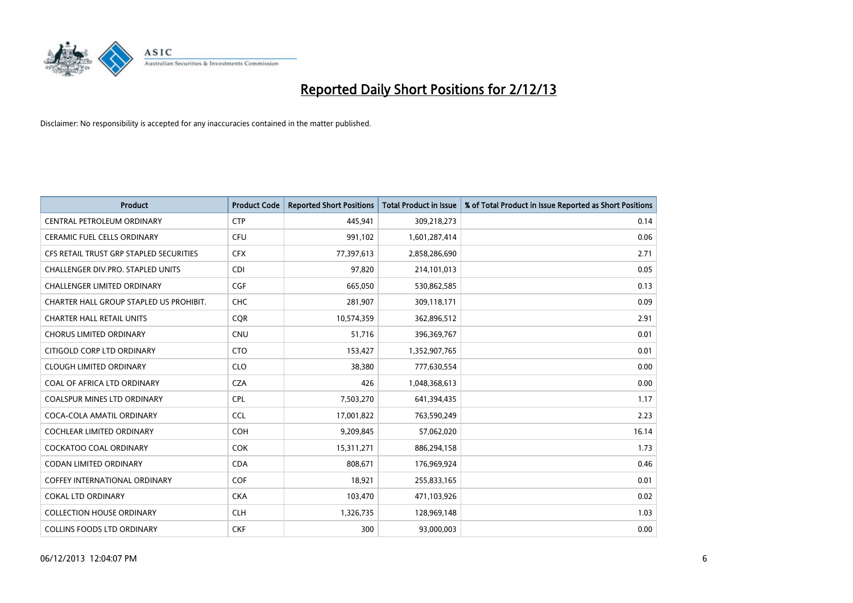

| <b>Product</b>                          | <b>Product Code</b> | <b>Reported Short Positions</b> | <b>Total Product in Issue</b> | % of Total Product in Issue Reported as Short Positions |
|-----------------------------------------|---------------------|---------------------------------|-------------------------------|---------------------------------------------------------|
| CENTRAL PETROLEUM ORDINARY              | <b>CTP</b>          | 445,941                         | 309,218,273                   | 0.14                                                    |
| CERAMIC FUEL CELLS ORDINARY             | <b>CFU</b>          | 991,102                         | 1,601,287,414                 | 0.06                                                    |
| CFS RETAIL TRUST GRP STAPLED SECURITIES | <b>CFX</b>          | 77,397,613                      | 2,858,286,690                 | 2.71                                                    |
| CHALLENGER DIV.PRO. STAPLED UNITS       | <b>CDI</b>          | 97,820                          | 214,101,013                   | 0.05                                                    |
| <b>CHALLENGER LIMITED ORDINARY</b>      | <b>CGF</b>          | 665,050                         | 530,862,585                   | 0.13                                                    |
| CHARTER HALL GROUP STAPLED US PROHIBIT. | <b>CHC</b>          | 281,907                         | 309,118,171                   | 0.09                                                    |
| <b>CHARTER HALL RETAIL UNITS</b>        | <b>CQR</b>          | 10,574,359                      | 362,896,512                   | 2.91                                                    |
| <b>CHORUS LIMITED ORDINARY</b>          | <b>CNU</b>          | 51,716                          | 396,369,767                   | 0.01                                                    |
| CITIGOLD CORP LTD ORDINARY              | <b>CTO</b>          | 153,427                         | 1,352,907,765                 | 0.01                                                    |
| <b>CLOUGH LIMITED ORDINARY</b>          | <b>CLO</b>          | 38,380                          | 777,630,554                   | 0.00                                                    |
| COAL OF AFRICA LTD ORDINARY             | <b>CZA</b>          | 426                             | 1,048,368,613                 | 0.00                                                    |
| COALSPUR MINES LTD ORDINARY             | <b>CPL</b>          | 7,503,270                       | 641,394,435                   | 1.17                                                    |
| COCA-COLA AMATIL ORDINARY               | <b>CCL</b>          | 17,001,822                      | 763,590,249                   | 2.23                                                    |
| <b>COCHLEAR LIMITED ORDINARY</b>        | <b>COH</b>          | 9,209,845                       | 57,062,020                    | 16.14                                                   |
| <b>COCKATOO COAL ORDINARY</b>           | COK                 | 15,311,271                      | 886,294,158                   | 1.73                                                    |
| CODAN LIMITED ORDINARY                  | <b>CDA</b>          | 808,671                         | 176,969,924                   | 0.46                                                    |
| COFFEY INTERNATIONAL ORDINARY           | <b>COF</b>          | 18,921                          | 255,833,165                   | 0.01                                                    |
| <b>COKAL LTD ORDINARY</b>               | <b>CKA</b>          | 103,470                         | 471,103,926                   | 0.02                                                    |
| <b>COLLECTION HOUSE ORDINARY</b>        | <b>CLH</b>          | 1,326,735                       | 128,969,148                   | 1.03                                                    |
| COLLINS FOODS LTD ORDINARY              | <b>CKF</b>          | 300                             | 93,000,003                    | 0.00                                                    |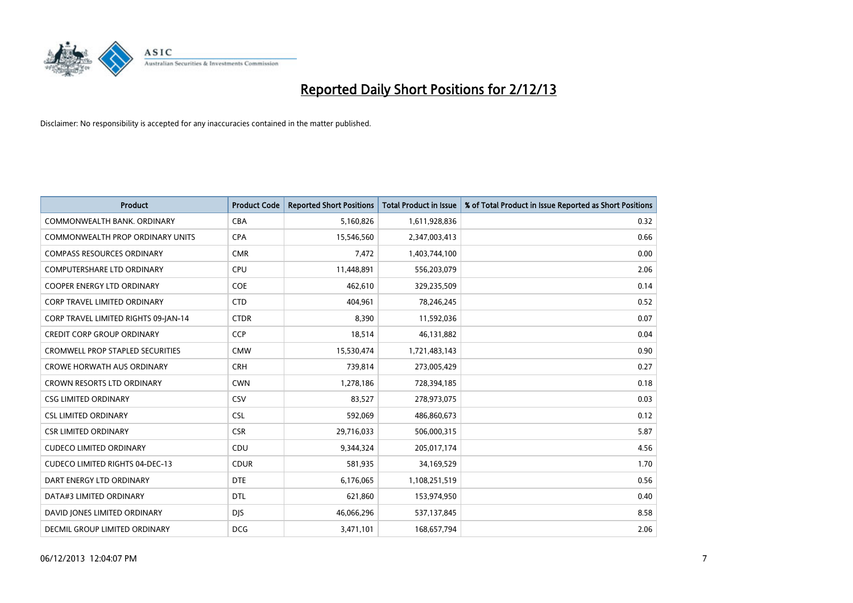

| <b>Product</b>                          | <b>Product Code</b> | <b>Reported Short Positions</b> | <b>Total Product in Issue</b> | % of Total Product in Issue Reported as Short Positions |
|-----------------------------------------|---------------------|---------------------------------|-------------------------------|---------------------------------------------------------|
| COMMONWEALTH BANK, ORDINARY             | <b>CBA</b>          | 5,160,826                       | 1,611,928,836                 | 0.32                                                    |
| COMMONWEALTH PROP ORDINARY UNITS        | <b>CPA</b>          | 15,546,560                      | 2,347,003,413                 | 0.66                                                    |
| <b>COMPASS RESOURCES ORDINARY</b>       | <b>CMR</b>          | 7,472                           | 1,403,744,100                 | 0.00                                                    |
| <b>COMPUTERSHARE LTD ORDINARY</b>       | <b>CPU</b>          | 11,448,891                      | 556,203,079                   | 2.06                                                    |
| <b>COOPER ENERGY LTD ORDINARY</b>       | <b>COE</b>          | 462,610                         | 329,235,509                   | 0.14                                                    |
| <b>CORP TRAVEL LIMITED ORDINARY</b>     | <b>CTD</b>          | 404.961                         | 78,246,245                    | 0.52                                                    |
| CORP TRAVEL LIMITED RIGHTS 09-JAN-14    | <b>CTDR</b>         | 8,390                           | 11,592,036                    | 0.07                                                    |
| <b>CREDIT CORP GROUP ORDINARY</b>       | <b>CCP</b>          | 18,514                          | 46,131,882                    | 0.04                                                    |
| <b>CROMWELL PROP STAPLED SECURITIES</b> | <b>CMW</b>          | 15,530,474                      | 1,721,483,143                 | 0.90                                                    |
| <b>CROWE HORWATH AUS ORDINARY</b>       | <b>CRH</b>          | 739,814                         | 273,005,429                   | 0.27                                                    |
| <b>CROWN RESORTS LTD ORDINARY</b>       | <b>CWN</b>          | 1,278,186                       | 728,394,185                   | 0.18                                                    |
| <b>CSG LIMITED ORDINARY</b>             | CSV                 | 83,527                          | 278,973,075                   | 0.03                                                    |
| <b>CSL LIMITED ORDINARY</b>             | CSL                 | 592,069                         | 486,860,673                   | 0.12                                                    |
| <b>CSR LIMITED ORDINARY</b>             | <b>CSR</b>          | 29,716,033                      | 506,000,315                   | 5.87                                                    |
| <b>CUDECO LIMITED ORDINARY</b>          | CDU                 | 9,344,324                       | 205,017,174                   | 4.56                                                    |
| <b>CUDECO LIMITED RIGHTS 04-DEC-13</b>  | <b>CDUR</b>         | 581,935                         | 34,169,529                    | 1.70                                                    |
| DART ENERGY LTD ORDINARY                | <b>DTE</b>          | 6,176,065                       | 1,108,251,519                 | 0.56                                                    |
| DATA#3 LIMITED ORDINARY                 | <b>DTL</b>          | 621,860                         | 153,974,950                   | 0.40                                                    |
| DAVID JONES LIMITED ORDINARY            | <b>DJS</b>          | 46,066,296                      | 537,137,845                   | 8.58                                                    |
| DECMIL GROUP LIMITED ORDINARY           | <b>DCG</b>          | 3,471,101                       | 168,657,794                   | 2.06                                                    |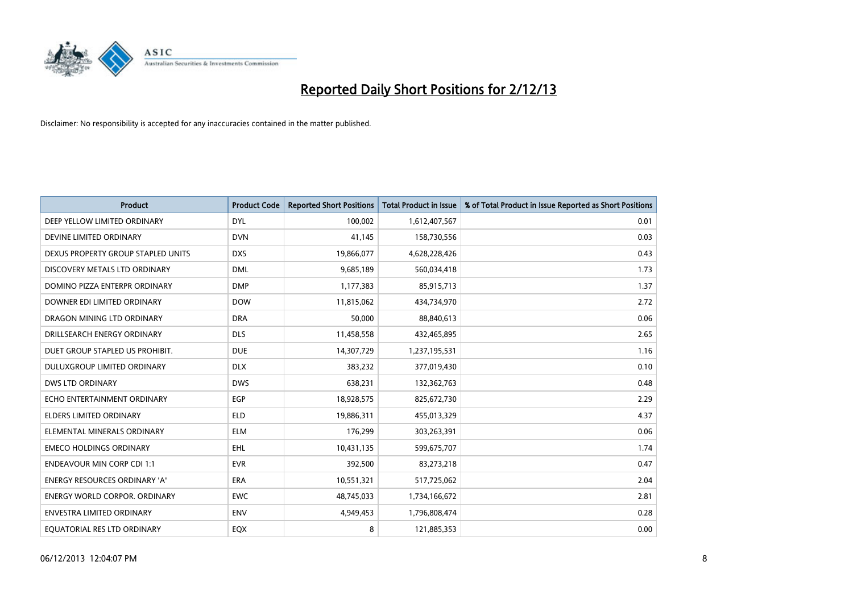

| <b>Product</b>                       | <b>Product Code</b> | <b>Reported Short Positions</b> | <b>Total Product in Issue</b> | % of Total Product in Issue Reported as Short Positions |
|--------------------------------------|---------------------|---------------------------------|-------------------------------|---------------------------------------------------------|
| DEEP YELLOW LIMITED ORDINARY         | <b>DYL</b>          | 100,002                         | 1,612,407,567                 | 0.01                                                    |
| DEVINE LIMITED ORDINARY              | <b>DVN</b>          | 41,145                          | 158,730,556                   | 0.03                                                    |
| DEXUS PROPERTY GROUP STAPLED UNITS   | <b>DXS</b>          | 19,866,077                      | 4,628,228,426                 | 0.43                                                    |
| DISCOVERY METALS LTD ORDINARY        | <b>DML</b>          | 9,685,189                       | 560,034,418                   | 1.73                                                    |
| DOMINO PIZZA ENTERPR ORDINARY        | <b>DMP</b>          | 1,177,383                       | 85,915,713                    | 1.37                                                    |
| DOWNER EDI LIMITED ORDINARY          | <b>DOW</b>          | 11,815,062                      | 434,734,970                   | 2.72                                                    |
| DRAGON MINING LTD ORDINARY           | <b>DRA</b>          | 50,000                          | 88,840,613                    | 0.06                                                    |
| DRILLSEARCH ENERGY ORDINARY          | <b>DLS</b>          | 11,458,558                      | 432,465,895                   | 2.65                                                    |
| DUET GROUP STAPLED US PROHIBIT.      | <b>DUE</b>          | 14,307,729                      | 1,237,195,531                 | 1.16                                                    |
| DULUXGROUP LIMITED ORDINARY          | <b>DLX</b>          | 383,232                         | 377,019,430                   | 0.10                                                    |
| DWS LTD ORDINARY                     | <b>DWS</b>          | 638,231                         | 132,362,763                   | 0.48                                                    |
| ECHO ENTERTAINMENT ORDINARY          | <b>EGP</b>          | 18,928,575                      | 825,672,730                   | 2.29                                                    |
| <b>ELDERS LIMITED ORDINARY</b>       | <b>ELD</b>          | 19,886,311                      | 455,013,329                   | 4.37                                                    |
| ELEMENTAL MINERALS ORDINARY          | <b>ELM</b>          | 176,299                         | 303,263,391                   | 0.06                                                    |
| <b>EMECO HOLDINGS ORDINARY</b>       | <b>EHL</b>          | 10,431,135                      | 599,675,707                   | 1.74                                                    |
| <b>ENDEAVOUR MIN CORP CDI 1:1</b>    | <b>EVR</b>          | 392,500                         | 83,273,218                    | 0.47                                                    |
| ENERGY RESOURCES ORDINARY 'A'        | ERA                 | 10,551,321                      | 517,725,062                   | 2.04                                                    |
| <b>ENERGY WORLD CORPOR. ORDINARY</b> | <b>EWC</b>          | 48,745,033                      | 1,734,166,672                 | 2.81                                                    |
| <b>ENVESTRA LIMITED ORDINARY</b>     | <b>ENV</b>          | 4,949,453                       | 1,796,808,474                 | 0.28                                                    |
| EQUATORIAL RES LTD ORDINARY          | EQX                 | 8                               | 121,885,353                   | 0.00                                                    |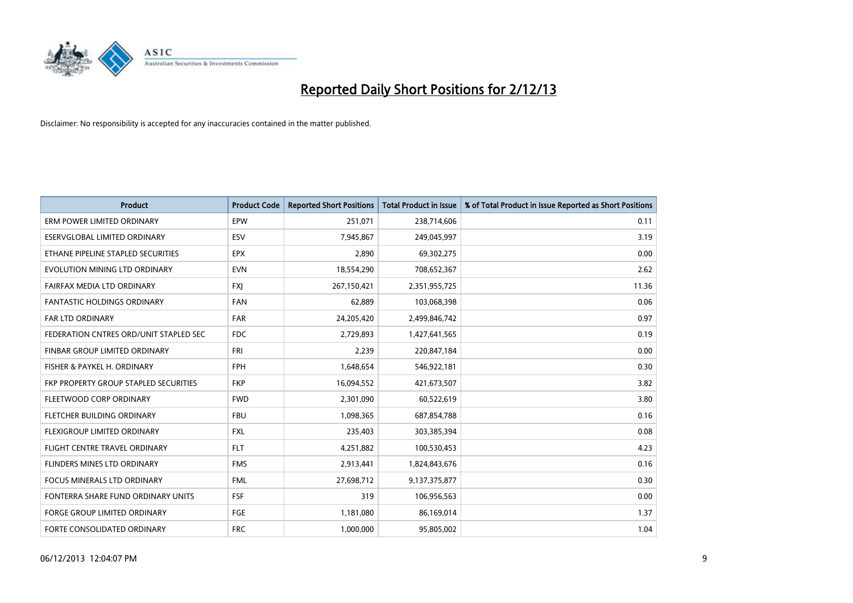

| <b>Product</b>                         | <b>Product Code</b> | <b>Reported Short Positions</b> | <b>Total Product in Issue</b> | % of Total Product in Issue Reported as Short Positions |
|----------------------------------------|---------------------|---------------------------------|-------------------------------|---------------------------------------------------------|
| ERM POWER LIMITED ORDINARY             | EPW                 | 251,071                         | 238,714,606                   | 0.11                                                    |
| ESERVGLOBAL LIMITED ORDINARY           | <b>ESV</b>          | 7,945,867                       | 249,045,997                   | 3.19                                                    |
| ETHANE PIPELINE STAPLED SECURITIES     | <b>EPX</b>          | 2,890                           | 69,302,275                    | 0.00                                                    |
| EVOLUTION MINING LTD ORDINARY          | <b>EVN</b>          | 18,554,290                      | 708,652,367                   | 2.62                                                    |
| <b>FAIRFAX MEDIA LTD ORDINARY</b>      | <b>FXI</b>          | 267,150,421                     | 2,351,955,725                 | 11.36                                                   |
| <b>FANTASTIC HOLDINGS ORDINARY</b>     | <b>FAN</b>          | 62,889                          | 103,068,398                   | 0.06                                                    |
| <b>FAR LTD ORDINARY</b>                | <b>FAR</b>          | 24,205,420                      | 2,499,846,742                 | 0.97                                                    |
| FEDERATION CNTRES ORD/UNIT STAPLED SEC | <b>FDC</b>          | 2,729,893                       | 1,427,641,565                 | 0.19                                                    |
| FINBAR GROUP LIMITED ORDINARY          | <b>FRI</b>          | 2.239                           | 220,847,184                   | 0.00                                                    |
| FISHER & PAYKEL H. ORDINARY            | <b>FPH</b>          | 1,648,654                       | 546,922,181                   | 0.30                                                    |
| FKP PROPERTY GROUP STAPLED SECURITIES  | <b>FKP</b>          | 16,094,552                      | 421,673,507                   | 3.82                                                    |
| FLEETWOOD CORP ORDINARY                | <b>FWD</b>          | 2,301,090                       | 60,522,619                    | 3.80                                                    |
| FLETCHER BUILDING ORDINARY             | <b>FBU</b>          | 1,098,365                       | 687,854,788                   | 0.16                                                    |
| FLEXIGROUP LIMITED ORDINARY            | <b>FXL</b>          | 235,403                         | 303,385,394                   | 0.08                                                    |
| FLIGHT CENTRE TRAVEL ORDINARY          | <b>FLT</b>          | 4,251,882                       | 100,530,453                   | 4.23                                                    |
| FLINDERS MINES LTD ORDINARY            | <b>FMS</b>          | 2,913,441                       | 1,824,843,676                 | 0.16                                                    |
| FOCUS MINERALS LTD ORDINARY            | <b>FML</b>          | 27,698,712                      | 9,137,375,877                 | 0.30                                                    |
| FONTERRA SHARE FUND ORDINARY UNITS     | FSF                 | 319                             | 106,956,563                   | 0.00                                                    |
| <b>FORGE GROUP LIMITED ORDINARY</b>    | FGE                 | 1,181,080                       | 86,169,014                    | 1.37                                                    |
| FORTE CONSOLIDATED ORDINARY            | <b>FRC</b>          | 1,000,000                       | 95,805,002                    | 1.04                                                    |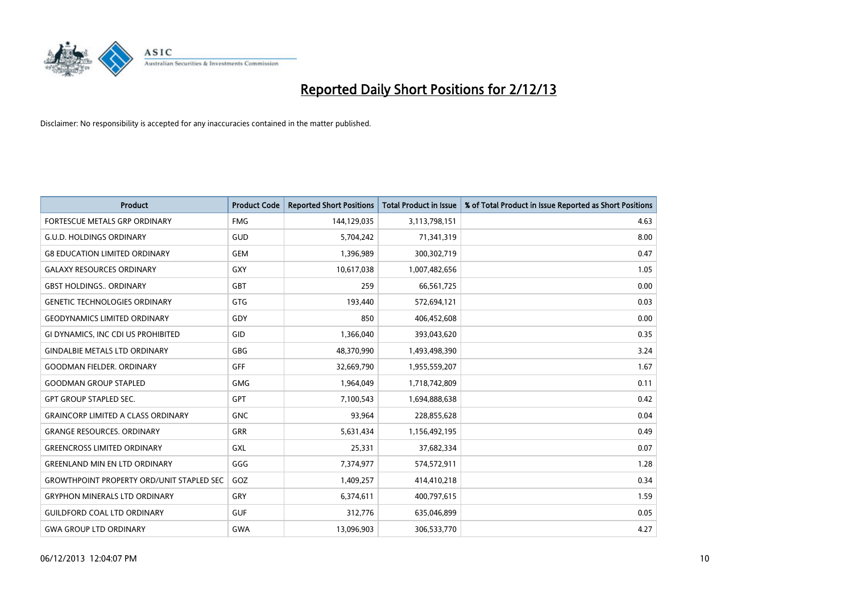

| <b>Product</b>                                   | <b>Product Code</b> | <b>Reported Short Positions</b> | <b>Total Product in Issue</b> | % of Total Product in Issue Reported as Short Positions |
|--------------------------------------------------|---------------------|---------------------------------|-------------------------------|---------------------------------------------------------|
| <b>FORTESCUE METALS GRP ORDINARY</b>             | <b>FMG</b>          | 144,129,035                     | 3,113,798,151                 | 4.63                                                    |
| <b>G.U.D. HOLDINGS ORDINARY</b>                  | GUD                 | 5,704,242                       | 71,341,319                    | 8.00                                                    |
| <b>G8 EDUCATION LIMITED ORDINARY</b>             | <b>GEM</b>          | 1,396,989                       | 300,302,719                   | 0.47                                                    |
| <b>GALAXY RESOURCES ORDINARY</b>                 | GXY                 | 10,617,038                      | 1,007,482,656                 | 1.05                                                    |
| <b>GBST HOLDINGS., ORDINARY</b>                  | GBT                 | 259                             | 66,561,725                    | 0.00                                                    |
| <b>GENETIC TECHNOLOGIES ORDINARY</b>             | GTG                 | 193,440                         | 572,694,121                   | 0.03                                                    |
| <b>GEODYNAMICS LIMITED ORDINARY</b>              | GDY                 | 850                             | 406,452,608                   | 0.00                                                    |
| GI DYNAMICS, INC CDI US PROHIBITED               | GID                 | 1,366,040                       | 393,043,620                   | 0.35                                                    |
| <b>GINDALBIE METALS LTD ORDINARY</b>             | GBG                 | 48,370,990                      | 1,493,498,390                 | 3.24                                                    |
| <b>GOODMAN FIELDER, ORDINARY</b>                 | GFF                 | 32,669,790                      | 1,955,559,207                 | 1.67                                                    |
| <b>GOODMAN GROUP STAPLED</b>                     | GMG                 | 1,964,049                       | 1,718,742,809                 | 0.11                                                    |
| <b>GPT GROUP STAPLED SEC.</b>                    | <b>GPT</b>          | 7,100,543                       | 1,694,888,638                 | 0.42                                                    |
| <b>GRAINCORP LIMITED A CLASS ORDINARY</b>        | <b>GNC</b>          | 93,964                          | 228,855,628                   | 0.04                                                    |
| <b>GRANGE RESOURCES, ORDINARY</b>                | GRR                 | 5,631,434                       | 1,156,492,195                 | 0.49                                                    |
| <b>GREENCROSS LIMITED ORDINARY</b>               | <b>GXL</b>          | 25,331                          | 37,682,334                    | 0.07                                                    |
| <b>GREENLAND MIN EN LTD ORDINARY</b>             | GGG                 | 7,374,977                       | 574,572,911                   | 1.28                                                    |
| <b>GROWTHPOINT PROPERTY ORD/UNIT STAPLED SEC</b> | GOZ                 | 1,409,257                       | 414,410,218                   | 0.34                                                    |
| <b>GRYPHON MINERALS LTD ORDINARY</b>             | GRY                 | 6,374,611                       | 400,797,615                   | 1.59                                                    |
| <b>GUILDFORD COAL LTD ORDINARY</b>               | <b>GUF</b>          | 312,776                         | 635,046,899                   | 0.05                                                    |
| <b>GWA GROUP LTD ORDINARY</b>                    | <b>GWA</b>          | 13,096,903                      | 306,533,770                   | 4.27                                                    |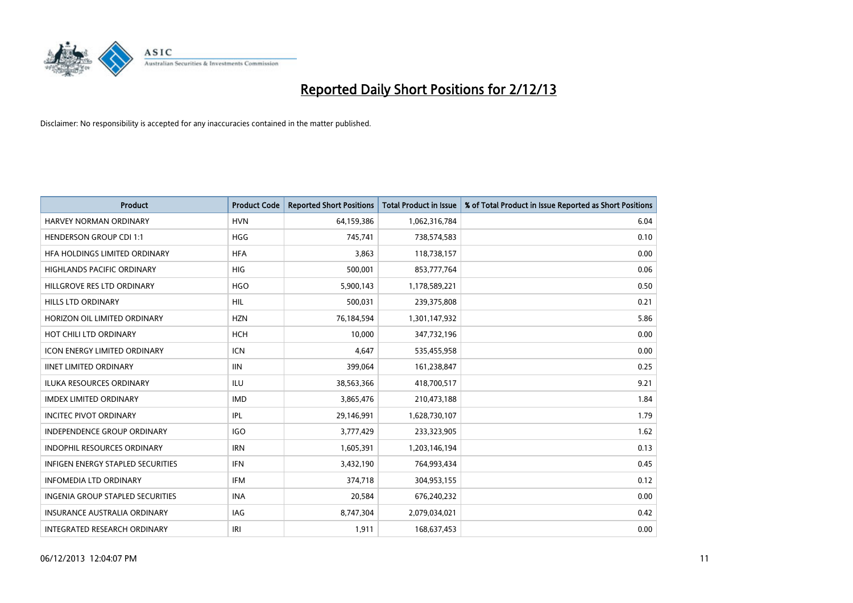

| <b>Product</b>                           | <b>Product Code</b> | <b>Reported Short Positions</b> | <b>Total Product in Issue</b> | % of Total Product in Issue Reported as Short Positions |
|------------------------------------------|---------------------|---------------------------------|-------------------------------|---------------------------------------------------------|
| <b>HARVEY NORMAN ORDINARY</b>            | <b>HVN</b>          | 64,159,386                      | 1,062,316,784                 | 6.04                                                    |
| <b>HENDERSON GROUP CDI 1:1</b>           | <b>HGG</b>          | 745,741                         | 738,574,583                   | 0.10                                                    |
| HFA HOLDINGS LIMITED ORDINARY            | <b>HFA</b>          | 3,863                           | 118,738,157                   | 0.00                                                    |
| <b>HIGHLANDS PACIFIC ORDINARY</b>        | <b>HIG</b>          | 500,001                         | 853,777,764                   | 0.06                                                    |
| HILLGROVE RES LTD ORDINARY               | <b>HGO</b>          | 5,900,143                       | 1,178,589,221                 | 0.50                                                    |
| <b>HILLS LTD ORDINARY</b>                | <b>HIL</b>          | 500,031                         | 239,375,808                   | 0.21                                                    |
| HORIZON OIL LIMITED ORDINARY             | <b>HZN</b>          | 76,184,594                      | 1,301,147,932                 | 5.86                                                    |
| HOT CHILI LTD ORDINARY                   | <b>HCH</b>          | 10,000                          | 347,732,196                   | 0.00                                                    |
| <b>ICON ENERGY LIMITED ORDINARY</b>      | <b>ICN</b>          | 4,647                           | 535,455,958                   | 0.00                                                    |
| <b>IINET LIMITED ORDINARY</b>            | <b>IIN</b>          | 399,064                         | 161,238,847                   | 0.25                                                    |
| ILUKA RESOURCES ORDINARY                 | ILU                 | 38,563,366                      | 418,700,517                   | 9.21                                                    |
| <b>IMDEX LIMITED ORDINARY</b>            | <b>IMD</b>          | 3,865,476                       | 210,473,188                   | 1.84                                                    |
| <b>INCITEC PIVOT ORDINARY</b>            | <b>IPL</b>          | 29,146,991                      | 1,628,730,107                 | 1.79                                                    |
| <b>INDEPENDENCE GROUP ORDINARY</b>       | <b>IGO</b>          | 3,777,429                       | 233,323,905                   | 1.62                                                    |
| <b>INDOPHIL RESOURCES ORDINARY</b>       | <b>IRN</b>          | 1,605,391                       | 1,203,146,194                 | 0.13                                                    |
| <b>INFIGEN ENERGY STAPLED SECURITIES</b> | <b>IFN</b>          | 3,432,190                       | 764,993,434                   | 0.45                                                    |
| <b>INFOMEDIA LTD ORDINARY</b>            | <b>IFM</b>          | 374,718                         | 304,953,155                   | 0.12                                                    |
| INGENIA GROUP STAPLED SECURITIES         | <b>INA</b>          | 20,584                          | 676,240,232                   | 0.00                                                    |
| <b>INSURANCE AUSTRALIA ORDINARY</b>      | <b>IAG</b>          | 8,747,304                       | 2,079,034,021                 | 0.42                                                    |
| INTEGRATED RESEARCH ORDINARY             | IRI                 | 1,911                           | 168,637,453                   | 0.00                                                    |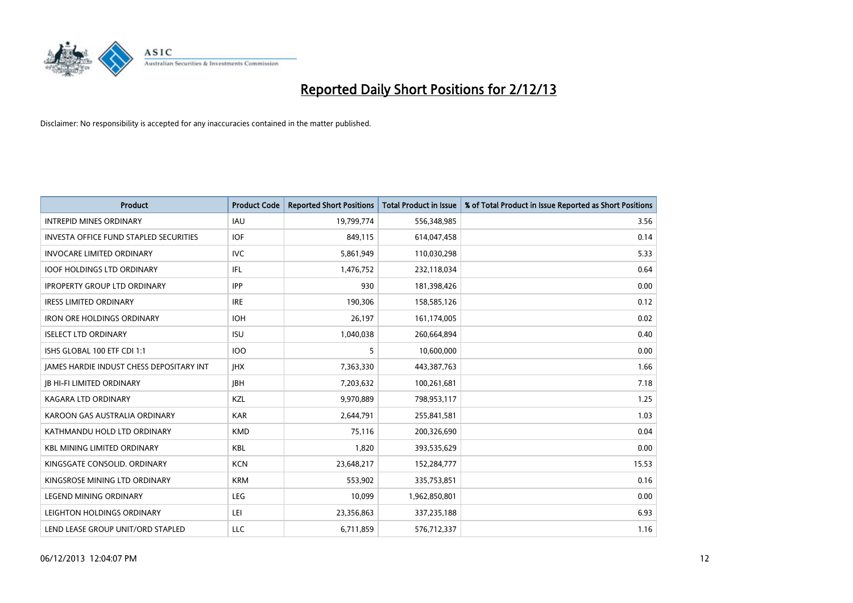

| <b>Product</b>                                  | <b>Product Code</b> | <b>Reported Short Positions</b> | <b>Total Product in Issue</b> | % of Total Product in Issue Reported as Short Positions |
|-------------------------------------------------|---------------------|---------------------------------|-------------------------------|---------------------------------------------------------|
| <b>INTREPID MINES ORDINARY</b>                  | <b>IAU</b>          | 19,799,774                      | 556,348,985                   | 3.56                                                    |
| <b>INVESTA OFFICE FUND STAPLED SECURITIES</b>   | <b>IOF</b>          | 849,115                         | 614,047,458                   | 0.14                                                    |
| <b>INVOCARE LIMITED ORDINARY</b>                | <b>IVC</b>          | 5,861,949                       | 110,030,298                   | 5.33                                                    |
| <b>IOOF HOLDINGS LTD ORDINARY</b>               | IFL.                | 1,476,752                       | 232,118,034                   | 0.64                                                    |
| <b>IPROPERTY GROUP LTD ORDINARY</b>             | <b>IPP</b>          | 930                             | 181,398,426                   | 0.00                                                    |
| <b>IRESS LIMITED ORDINARY</b>                   | <b>IRE</b>          | 190,306                         | 158,585,126                   | 0.12                                                    |
| <b>IRON ORE HOLDINGS ORDINARY</b>               | <b>IOH</b>          | 26,197                          | 161,174,005                   | 0.02                                                    |
| <b>ISELECT LTD ORDINARY</b>                     | <b>ISU</b>          | 1,040,038                       | 260,664,894                   | 0.40                                                    |
| ISHS GLOBAL 100 ETF CDI 1:1                     | 100                 | 5                               | 10,600,000                    | 0.00                                                    |
| <b>IAMES HARDIE INDUST CHESS DEPOSITARY INT</b> | <b>IHX</b>          | 7,363,330                       | 443,387,763                   | 1.66                                                    |
| <b>JB HI-FI LIMITED ORDINARY</b>                | <b>IBH</b>          | 7,203,632                       | 100,261,681                   | 7.18                                                    |
| <b>KAGARA LTD ORDINARY</b>                      | KZL                 | 9,970,889                       | 798,953,117                   | 1.25                                                    |
| KAROON GAS AUSTRALIA ORDINARY                   | <b>KAR</b>          | 2,644,791                       | 255,841,581                   | 1.03                                                    |
| KATHMANDU HOLD LTD ORDINARY                     | <b>KMD</b>          | 75.116                          | 200,326,690                   | 0.04                                                    |
| <b>KBL MINING LIMITED ORDINARY</b>              | <b>KBL</b>          | 1,820                           | 393,535,629                   | 0.00                                                    |
| KINGSGATE CONSOLID, ORDINARY                    | <b>KCN</b>          | 23,648,217                      | 152,284,777                   | 15.53                                                   |
| KINGSROSE MINING LTD ORDINARY                   | <b>KRM</b>          | 553,902                         | 335,753,851                   | 0.16                                                    |
| LEGEND MINING ORDINARY                          | <b>LEG</b>          | 10,099                          | 1,962,850,801                 | 0.00                                                    |
| LEIGHTON HOLDINGS ORDINARY                      | LEI                 | 23,356,863                      | 337,235,188                   | 6.93                                                    |
| LEND LEASE GROUP UNIT/ORD STAPLED               | <b>LLC</b>          | 6,711,859                       | 576,712,337                   | 1.16                                                    |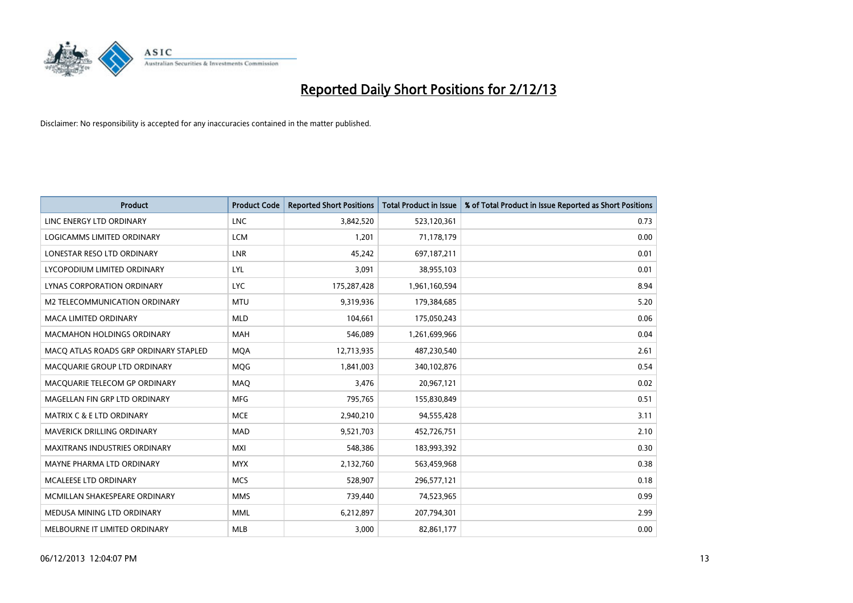

| <b>Product</b>                        | <b>Product Code</b> | <b>Reported Short Positions</b> | <b>Total Product in Issue</b> | % of Total Product in Issue Reported as Short Positions |
|---------------------------------------|---------------------|---------------------------------|-------------------------------|---------------------------------------------------------|
| LINC ENERGY LTD ORDINARY              | <b>LNC</b>          | 3,842,520                       | 523,120,361                   | 0.73                                                    |
| LOGICAMMS LIMITED ORDINARY            | <b>LCM</b>          | 1,201                           | 71,178,179                    | 0.00                                                    |
| LONESTAR RESO LTD ORDINARY            | <b>LNR</b>          | 45,242                          | 697,187,211                   | 0.01                                                    |
| LYCOPODIUM LIMITED ORDINARY           | LYL                 | 3,091                           | 38,955,103                    | 0.01                                                    |
| LYNAS CORPORATION ORDINARY            | <b>LYC</b>          | 175,287,428                     | 1,961,160,594                 | 8.94                                                    |
| M2 TELECOMMUNICATION ORDINARY         | <b>MTU</b>          | 9,319,936                       | 179,384,685                   | 5.20                                                    |
| <b>MACA LIMITED ORDINARY</b>          | <b>MLD</b>          | 104,661                         | 175,050,243                   | 0.06                                                    |
| <b>MACMAHON HOLDINGS ORDINARY</b>     | <b>MAH</b>          | 546,089                         | 1,261,699,966                 | 0.04                                                    |
| MACO ATLAS ROADS GRP ORDINARY STAPLED | <b>MOA</b>          | 12,713,935                      | 487,230,540                   | 2.61                                                    |
| MACQUARIE GROUP LTD ORDINARY          | <b>MOG</b>          | 1,841,003                       | 340,102,876                   | 0.54                                                    |
| MACQUARIE TELECOM GP ORDINARY         | MAQ                 | 3,476                           | 20,967,121                    | 0.02                                                    |
| MAGELLAN FIN GRP LTD ORDINARY         | <b>MFG</b>          | 795,765                         | 155,830,849                   | 0.51                                                    |
| <b>MATRIX C &amp; E LTD ORDINARY</b>  | <b>MCE</b>          | 2,940,210                       | 94,555,428                    | 3.11                                                    |
| <b>MAVERICK DRILLING ORDINARY</b>     | <b>MAD</b>          | 9,521,703                       | 452,726,751                   | 2.10                                                    |
| <b>MAXITRANS INDUSTRIES ORDINARY</b>  | MXI                 | 548,386                         | 183,993,392                   | 0.30                                                    |
| MAYNE PHARMA LTD ORDINARY             | <b>MYX</b>          | 2,132,760                       | 563,459,968                   | 0.38                                                    |
| <b>MCALEESE LTD ORDINARY</b>          | <b>MCS</b>          | 528,907                         | 296,577,121                   | 0.18                                                    |
| MCMILLAN SHAKESPEARE ORDINARY         | <b>MMS</b>          | 739,440                         | 74,523,965                    | 0.99                                                    |
| MEDUSA MINING LTD ORDINARY            | <b>MML</b>          | 6,212,897                       | 207,794,301                   | 2.99                                                    |
| MELBOURNE IT LIMITED ORDINARY         | <b>MLB</b>          | 3,000                           | 82,861,177                    | 0.00                                                    |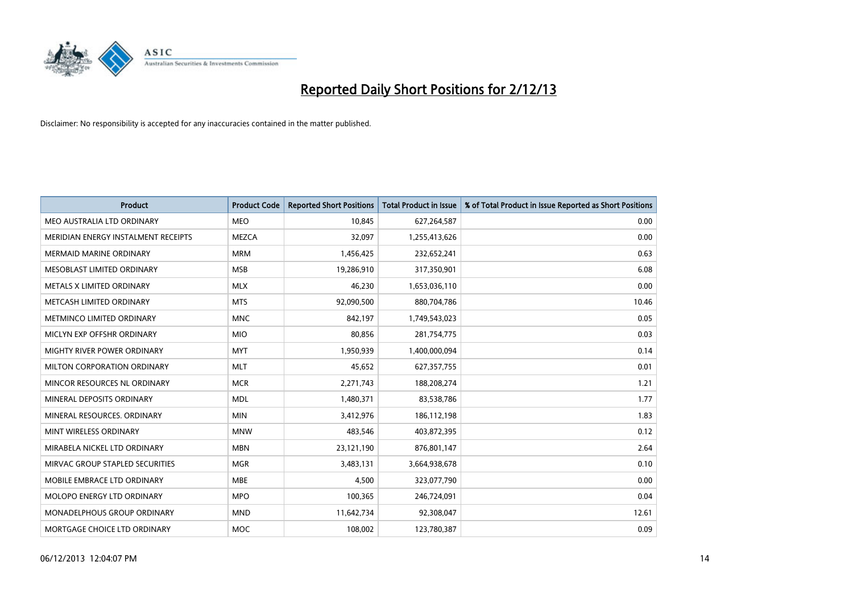

| <b>Product</b>                      | <b>Product Code</b> | <b>Reported Short Positions</b> | <b>Total Product in Issue</b> | % of Total Product in Issue Reported as Short Positions |
|-------------------------------------|---------------------|---------------------------------|-------------------------------|---------------------------------------------------------|
| MEO AUSTRALIA LTD ORDINARY          | <b>MEO</b>          | 10,845                          | 627,264,587                   | 0.00                                                    |
| MERIDIAN ENERGY INSTALMENT RECEIPTS | <b>MEZCA</b>        | 32,097                          | 1,255,413,626                 | 0.00                                                    |
| <b>MERMAID MARINE ORDINARY</b>      | <b>MRM</b>          | 1,456,425                       | 232,652,241                   | 0.63                                                    |
| MESOBLAST LIMITED ORDINARY          | <b>MSB</b>          | 19,286,910                      | 317,350,901                   | 6.08                                                    |
| METALS X LIMITED ORDINARY           | <b>MLX</b>          | 46,230                          | 1,653,036,110                 | 0.00                                                    |
| METCASH LIMITED ORDINARY            | <b>MTS</b>          | 92,090,500                      | 880,704,786                   | 10.46                                                   |
| METMINCO LIMITED ORDINARY           | <b>MNC</b>          | 842,197                         | 1,749,543,023                 | 0.05                                                    |
| MICLYN EXP OFFSHR ORDINARY          | <b>MIO</b>          | 80,856                          | 281,754,775                   | 0.03                                                    |
| MIGHTY RIVER POWER ORDINARY         | <b>MYT</b>          | 1,950,939                       | 1,400,000,094                 | 0.14                                                    |
| MILTON CORPORATION ORDINARY         | <b>MLT</b>          | 45,652                          | 627,357,755                   | 0.01                                                    |
| MINCOR RESOURCES NL ORDINARY        | <b>MCR</b>          | 2,271,743                       | 188,208,274                   | 1.21                                                    |
| MINERAL DEPOSITS ORDINARY           | <b>MDL</b>          | 1,480,371                       | 83,538,786                    | 1.77                                                    |
| MINERAL RESOURCES. ORDINARY         | <b>MIN</b>          | 3,412,976                       | 186, 112, 198                 | 1.83                                                    |
| MINT WIRELESS ORDINARY              | <b>MNW</b>          | 483,546                         | 403,872,395                   | 0.12                                                    |
| MIRABELA NICKEL LTD ORDINARY        | <b>MBN</b>          | 23,121,190                      | 876,801,147                   | 2.64                                                    |
| MIRVAC GROUP STAPLED SECURITIES     | <b>MGR</b>          | 3,483,131                       | 3,664,938,678                 | 0.10                                                    |
| MOBILE EMBRACE LTD ORDINARY         | <b>MBE</b>          | 4,500                           | 323,077,790                   | 0.00                                                    |
| MOLOPO ENERGY LTD ORDINARY          | <b>MPO</b>          | 100,365                         | 246,724,091                   | 0.04                                                    |
| MONADELPHOUS GROUP ORDINARY         | <b>MND</b>          | 11,642,734                      | 92,308,047                    | 12.61                                                   |
| MORTGAGE CHOICE LTD ORDINARY        | MOC                 | 108,002                         | 123,780,387                   | 0.09                                                    |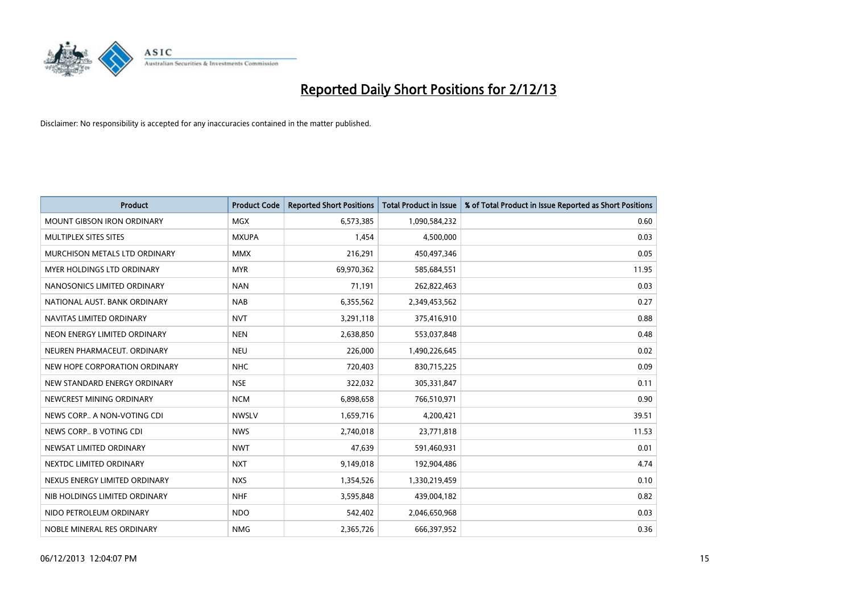

| <b>Product</b>                    | <b>Product Code</b> | <b>Reported Short Positions</b> | <b>Total Product in Issue</b> | % of Total Product in Issue Reported as Short Positions |
|-----------------------------------|---------------------|---------------------------------|-------------------------------|---------------------------------------------------------|
| <b>MOUNT GIBSON IRON ORDINARY</b> | <b>MGX</b>          | 6,573,385                       | 1,090,584,232                 | 0.60                                                    |
| MULTIPLEX SITES SITES             | <b>MXUPA</b>        | 1,454                           | 4,500,000                     | 0.03                                                    |
| MURCHISON METALS LTD ORDINARY     | <b>MMX</b>          | 216,291                         | 450,497,346                   | 0.05                                                    |
| MYER HOLDINGS LTD ORDINARY        | <b>MYR</b>          | 69,970,362                      | 585,684,551                   | 11.95                                                   |
| NANOSONICS LIMITED ORDINARY       | <b>NAN</b>          | 71,191                          | 262,822,463                   | 0.03                                                    |
| NATIONAL AUST, BANK ORDINARY      | <b>NAB</b>          | 6,355,562                       | 2,349,453,562                 | 0.27                                                    |
| NAVITAS LIMITED ORDINARY          | <b>NVT</b>          | 3,291,118                       | 375,416,910                   | 0.88                                                    |
| NEON ENERGY LIMITED ORDINARY      | <b>NEN</b>          | 2,638,850                       | 553,037,848                   | 0.48                                                    |
| NEUREN PHARMACEUT, ORDINARY       | <b>NEU</b>          | 226,000                         | 1,490,226,645                 | 0.02                                                    |
| NEW HOPE CORPORATION ORDINARY     | <b>NHC</b>          | 720,403                         | 830,715,225                   | 0.09                                                    |
| NEW STANDARD ENERGY ORDINARY      | <b>NSE</b>          | 322,032                         | 305,331,847                   | 0.11                                                    |
| NEWCREST MINING ORDINARY          | <b>NCM</b>          | 6,898,658                       | 766,510,971                   | 0.90                                                    |
| NEWS CORP A NON-VOTING CDI        | <b>NWSLV</b>        | 1,659,716                       | 4,200,421                     | 39.51                                                   |
| NEWS CORP B VOTING CDI            | <b>NWS</b>          | 2,740,018                       | 23,771,818                    | 11.53                                                   |
| NEWSAT LIMITED ORDINARY           | <b>NWT</b>          | 47,639                          | 591,460,931                   | 0.01                                                    |
| NEXTDC LIMITED ORDINARY           | <b>NXT</b>          | 9,149,018                       | 192,904,486                   | 4.74                                                    |
| NEXUS ENERGY LIMITED ORDINARY     | <b>NXS</b>          | 1,354,526                       | 1,330,219,459                 | 0.10                                                    |
| NIB HOLDINGS LIMITED ORDINARY     | <b>NHF</b>          | 3,595,848                       | 439,004,182                   | 0.82                                                    |
| NIDO PETROLEUM ORDINARY           | <b>NDO</b>          | 542,402                         | 2,046,650,968                 | 0.03                                                    |
| NOBLE MINERAL RES ORDINARY        | <b>NMG</b>          | 2,365,726                       | 666,397,952                   | 0.36                                                    |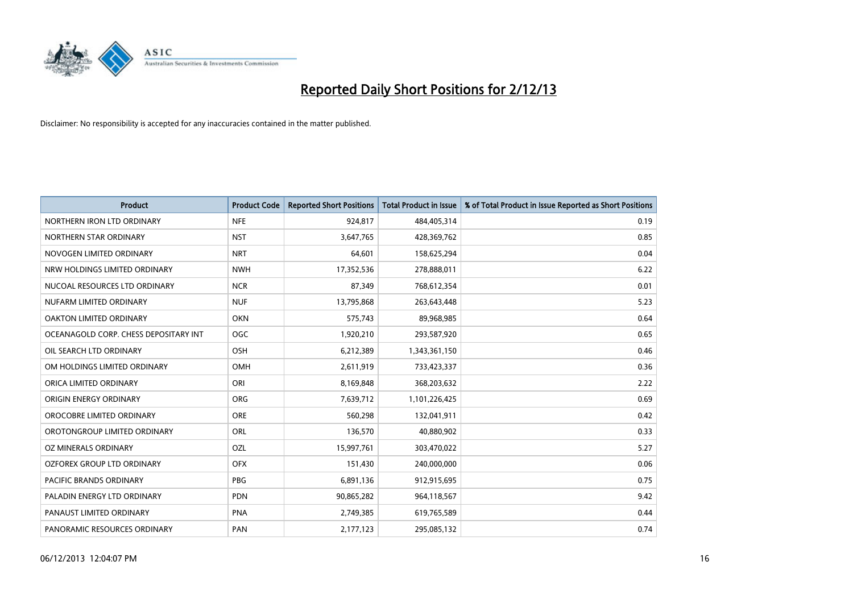

| <b>Product</b>                        | <b>Product Code</b> | <b>Reported Short Positions</b> | <b>Total Product in Issue</b> | % of Total Product in Issue Reported as Short Positions |
|---------------------------------------|---------------------|---------------------------------|-------------------------------|---------------------------------------------------------|
| NORTHERN IRON LTD ORDINARY            | <b>NFE</b>          | 924,817                         | 484,405,314                   | 0.19                                                    |
| NORTHERN STAR ORDINARY                | <b>NST</b>          | 3,647,765                       | 428,369,762                   | 0.85                                                    |
| NOVOGEN LIMITED ORDINARY              | <b>NRT</b>          | 64,601                          | 158,625,294                   | 0.04                                                    |
| NRW HOLDINGS LIMITED ORDINARY         | <b>NWH</b>          | 17,352,536                      | 278,888,011                   | 6.22                                                    |
| NUCOAL RESOURCES LTD ORDINARY         | <b>NCR</b>          | 87,349                          | 768,612,354                   | 0.01                                                    |
| NUFARM LIMITED ORDINARY               | <b>NUF</b>          | 13,795,868                      | 263,643,448                   | 5.23                                                    |
| <b>OAKTON LIMITED ORDINARY</b>        | <b>OKN</b>          | 575,743                         | 89,968,985                    | 0.64                                                    |
| OCEANAGOLD CORP. CHESS DEPOSITARY INT | <b>OGC</b>          | 1,920,210                       | 293,587,920                   | 0.65                                                    |
| OIL SEARCH LTD ORDINARY               | OSH                 | 6,212,389                       | 1,343,361,150                 | 0.46                                                    |
| OM HOLDINGS LIMITED ORDINARY          | OMH                 | 2,611,919                       | 733,423,337                   | 0.36                                                    |
| ORICA LIMITED ORDINARY                | ORI                 | 8,169,848                       | 368,203,632                   | 2.22                                                    |
| ORIGIN ENERGY ORDINARY                | <b>ORG</b>          | 7,639,712                       | 1,101,226,425                 | 0.69                                                    |
| OROCOBRE LIMITED ORDINARY             | <b>ORE</b>          | 560,298                         | 132,041,911                   | 0.42                                                    |
| OROTONGROUP LIMITED ORDINARY          | <b>ORL</b>          | 136,570                         | 40,880,902                    | 0.33                                                    |
| OZ MINERALS ORDINARY                  | OZL                 | 15,997,761                      | 303,470,022                   | 5.27                                                    |
| OZFOREX GROUP LTD ORDINARY            | <b>OFX</b>          | 151,430                         | 240,000,000                   | 0.06                                                    |
| PACIFIC BRANDS ORDINARY               | <b>PBG</b>          | 6,891,136                       | 912,915,695                   | 0.75                                                    |
| PALADIN ENERGY LTD ORDINARY           | <b>PDN</b>          | 90,865,282                      | 964,118,567                   | 9.42                                                    |
| PANAUST LIMITED ORDINARY              | <b>PNA</b>          | 2,749,385                       | 619,765,589                   | 0.44                                                    |
| PANORAMIC RESOURCES ORDINARY          | PAN                 | 2,177,123                       | 295,085,132                   | 0.74                                                    |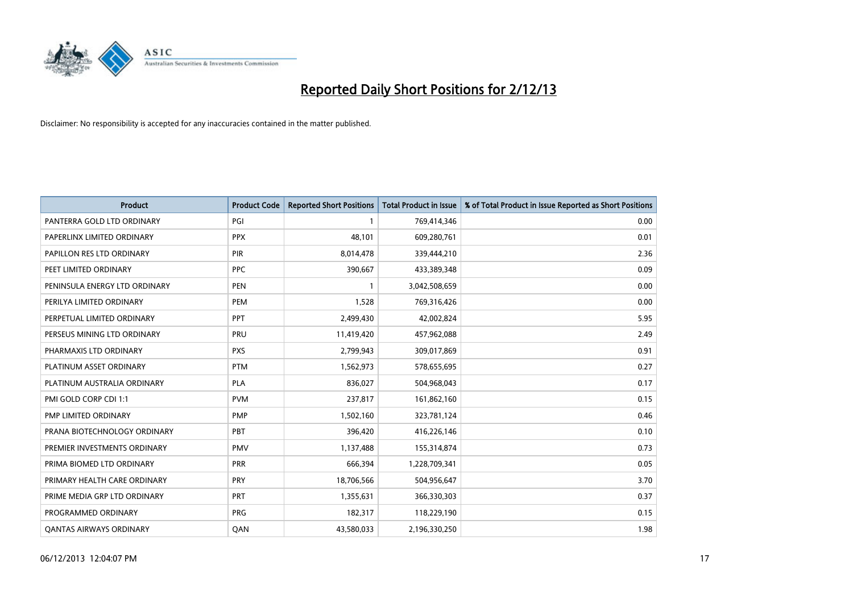

| <b>Product</b>                 | <b>Product Code</b> | <b>Reported Short Positions</b> | <b>Total Product in Issue</b> | % of Total Product in Issue Reported as Short Positions |
|--------------------------------|---------------------|---------------------------------|-------------------------------|---------------------------------------------------------|
| PANTERRA GOLD LTD ORDINARY     | PGI                 |                                 | 769,414,346                   | 0.00                                                    |
| PAPERLINX LIMITED ORDINARY     | <b>PPX</b>          | 48,101                          | 609,280,761                   | 0.01                                                    |
| PAPILLON RES LTD ORDINARY      | <b>PIR</b>          | 8,014,478                       | 339,444,210                   | 2.36                                                    |
| PEET LIMITED ORDINARY          | <b>PPC</b>          | 390,667                         | 433,389,348                   | 0.09                                                    |
| PENINSULA ENERGY LTD ORDINARY  | <b>PEN</b>          | $\mathbf{1}$                    | 3,042,508,659                 | 0.00                                                    |
| PERILYA LIMITED ORDINARY       | PEM                 | 1,528                           | 769,316,426                   | 0.00                                                    |
| PERPETUAL LIMITED ORDINARY     | <b>PPT</b>          | 2,499,430                       | 42,002,824                    | 5.95                                                    |
| PERSEUS MINING LTD ORDINARY    | PRU                 | 11,419,420                      | 457,962,088                   | 2.49                                                    |
| PHARMAXIS LTD ORDINARY         | <b>PXS</b>          | 2,799,943                       | 309,017,869                   | 0.91                                                    |
| PLATINUM ASSET ORDINARY        | <b>PTM</b>          | 1,562,973                       | 578,655,695                   | 0.27                                                    |
| PLATINUM AUSTRALIA ORDINARY    | <b>PLA</b>          | 836,027                         | 504,968,043                   | 0.17                                                    |
| PMI GOLD CORP CDI 1:1          | <b>PVM</b>          | 237,817                         | 161,862,160                   | 0.15                                                    |
| PMP LIMITED ORDINARY           | <b>PMP</b>          | 1,502,160                       | 323,781,124                   | 0.46                                                    |
| PRANA BIOTECHNOLOGY ORDINARY   | <b>PBT</b>          | 396,420                         | 416,226,146                   | 0.10                                                    |
| PREMIER INVESTMENTS ORDINARY   | <b>PMV</b>          | 1,137,488                       | 155,314,874                   | 0.73                                                    |
| PRIMA BIOMED LTD ORDINARY      | <b>PRR</b>          | 666,394                         | 1,228,709,341                 | 0.05                                                    |
| PRIMARY HEALTH CARE ORDINARY   | <b>PRY</b>          | 18,706,566                      | 504,956,647                   | 3.70                                                    |
| PRIME MEDIA GRP LTD ORDINARY   | PRT                 | 1,355,631                       | 366,330,303                   | 0.37                                                    |
| PROGRAMMED ORDINARY            | <b>PRG</b>          | 182,317                         | 118,229,190                   | 0.15                                                    |
| <b>QANTAS AIRWAYS ORDINARY</b> | QAN                 | 43,580,033                      | 2,196,330,250                 | 1.98                                                    |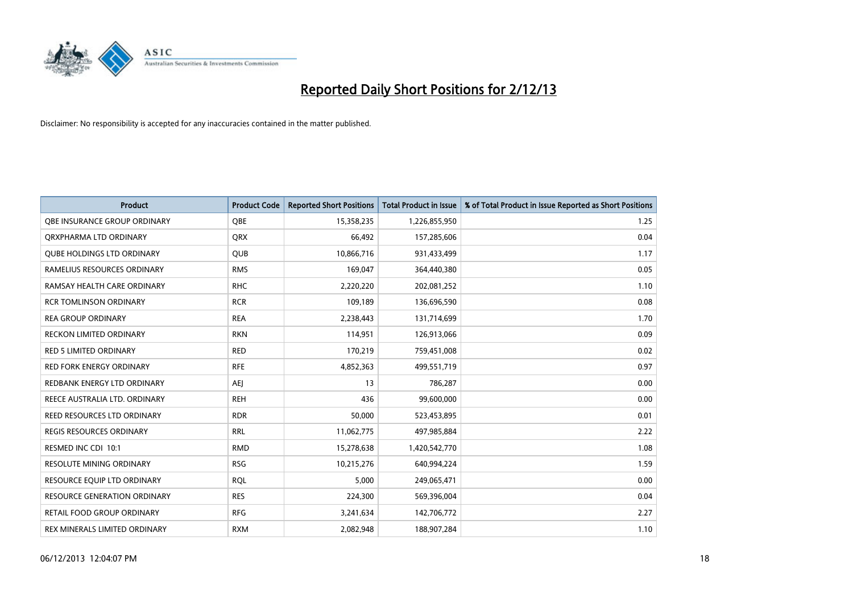

| <b>Product</b>                      | <b>Product Code</b> | <b>Reported Short Positions</b> | <b>Total Product in Issue</b> | % of Total Product in Issue Reported as Short Positions |
|-------------------------------------|---------------------|---------------------------------|-------------------------------|---------------------------------------------------------|
| OBE INSURANCE GROUP ORDINARY        | <b>OBE</b>          | 15,358,235                      | 1,226,855,950                 | 1.25                                                    |
| ORXPHARMA LTD ORDINARY              | <b>QRX</b>          | 66,492                          | 157,285,606                   | 0.04                                                    |
| <b>QUBE HOLDINGS LTD ORDINARY</b>   | QUB                 | 10,866,716                      | 931,433,499                   | 1.17                                                    |
| RAMELIUS RESOURCES ORDINARY         | <b>RMS</b>          | 169,047                         | 364,440,380                   | 0.05                                                    |
| RAMSAY HEALTH CARE ORDINARY         | <b>RHC</b>          | 2,220,220                       | 202,081,252                   | 1.10                                                    |
| <b>RCR TOMLINSON ORDINARY</b>       | <b>RCR</b>          | 109,189                         | 136,696,590                   | 0.08                                                    |
| <b>REA GROUP ORDINARY</b>           | <b>REA</b>          | 2,238,443                       | 131,714,699                   | 1.70                                                    |
| RECKON LIMITED ORDINARY             | <b>RKN</b>          | 114,951                         | 126,913,066                   | 0.09                                                    |
| <b>RED 5 LIMITED ORDINARY</b>       | <b>RED</b>          | 170,219                         | 759,451,008                   | 0.02                                                    |
| <b>RED FORK ENERGY ORDINARY</b>     | <b>RFE</b>          | 4,852,363                       | 499,551,719                   | 0.97                                                    |
| REDBANK ENERGY LTD ORDINARY         | <b>AEJ</b>          | 13                              | 786,287                       | 0.00                                                    |
| REECE AUSTRALIA LTD. ORDINARY       | <b>REH</b>          | 436                             | 99,600,000                    | 0.00                                                    |
| REED RESOURCES LTD ORDINARY         | <b>RDR</b>          | 50,000                          | 523,453,895                   | 0.01                                                    |
| REGIS RESOURCES ORDINARY            | <b>RRL</b>          | 11,062,775                      | 497,985,884                   | 2.22                                                    |
| RESMED INC CDI 10:1                 | <b>RMD</b>          | 15,278,638                      | 1,420,542,770                 | 1.08                                                    |
| RESOLUTE MINING ORDINARY            | <b>RSG</b>          | 10,215,276                      | 640,994,224                   | 1.59                                                    |
| RESOURCE EQUIP LTD ORDINARY         | <b>RQL</b>          | 5,000                           | 249,065,471                   | 0.00                                                    |
| <b>RESOURCE GENERATION ORDINARY</b> | <b>RES</b>          | 224,300                         | 569,396,004                   | 0.04                                                    |
| <b>RETAIL FOOD GROUP ORDINARY</b>   | <b>RFG</b>          | 3,241,634                       | 142,706,772                   | 2.27                                                    |
| REX MINERALS LIMITED ORDINARY       | <b>RXM</b>          | 2,082,948                       | 188,907,284                   | 1.10                                                    |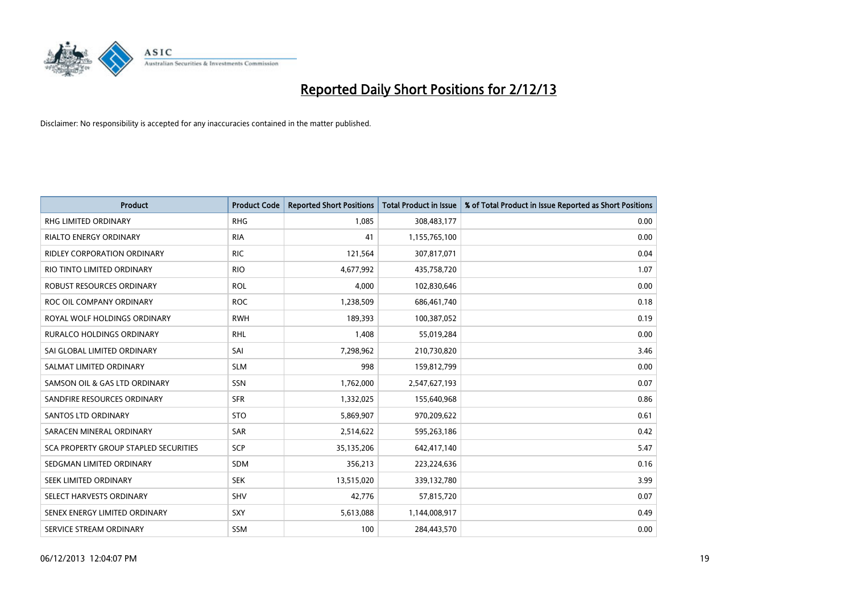

| <b>Product</b>                               | <b>Product Code</b> | <b>Reported Short Positions</b> | <b>Total Product in Issue</b> | % of Total Product in Issue Reported as Short Positions |
|----------------------------------------------|---------------------|---------------------------------|-------------------------------|---------------------------------------------------------|
| <b>RHG LIMITED ORDINARY</b>                  | <b>RHG</b>          | 1,085                           | 308,483,177                   | 0.00                                                    |
| <b>RIALTO ENERGY ORDINARY</b>                | <b>RIA</b>          | 41                              | 1,155,765,100                 | 0.00                                                    |
| <b>RIDLEY CORPORATION ORDINARY</b>           | <b>RIC</b>          | 121,564                         | 307,817,071                   | 0.04                                                    |
| RIO TINTO LIMITED ORDINARY                   | <b>RIO</b>          | 4,677,992                       | 435,758,720                   | 1.07                                                    |
| <b>ROBUST RESOURCES ORDINARY</b>             | <b>ROL</b>          | 4,000                           | 102,830,646                   | 0.00                                                    |
| ROC OIL COMPANY ORDINARY                     | <b>ROC</b>          | 1,238,509                       | 686,461,740                   | 0.18                                                    |
| ROYAL WOLF HOLDINGS ORDINARY                 | <b>RWH</b>          | 189,393                         | 100,387,052                   | 0.19                                                    |
| <b>RURALCO HOLDINGS ORDINARY</b>             | <b>RHL</b>          | 1,408                           | 55,019,284                    | 0.00                                                    |
| SAI GLOBAL LIMITED ORDINARY                  | SAI                 | 7,298,962                       | 210,730,820                   | 3.46                                                    |
| SALMAT LIMITED ORDINARY                      | <b>SLM</b>          | 998                             | 159,812,799                   | 0.00                                                    |
| SAMSON OIL & GAS LTD ORDINARY                | SSN                 | 1,762,000                       | 2,547,627,193                 | 0.07                                                    |
| SANDFIRE RESOURCES ORDINARY                  | <b>SFR</b>          | 1,332,025                       | 155,640,968                   | 0.86                                                    |
| <b>SANTOS LTD ORDINARY</b>                   | <b>STO</b>          | 5,869,907                       | 970,209,622                   | 0.61                                                    |
| SARACEN MINERAL ORDINARY                     | SAR                 | 2,514,622                       | 595,263,186                   | 0.42                                                    |
| <b>SCA PROPERTY GROUP STAPLED SECURITIES</b> | SCP                 | 35,135,206                      | 642,417,140                   | 5.47                                                    |
| SEDGMAN LIMITED ORDINARY                     | SDM                 | 356,213                         | 223,224,636                   | 0.16                                                    |
| SEEK LIMITED ORDINARY                        | <b>SEK</b>          | 13,515,020                      | 339,132,780                   | 3.99                                                    |
| SELECT HARVESTS ORDINARY                     | SHV                 | 42,776                          | 57,815,720                    | 0.07                                                    |
| SENEX ENERGY LIMITED ORDINARY                | <b>SXY</b>          | 5,613,088                       | 1,144,008,917                 | 0.49                                                    |
| SERVICE STREAM ORDINARY                      | SSM                 | 100                             | 284,443,570                   | 0.00                                                    |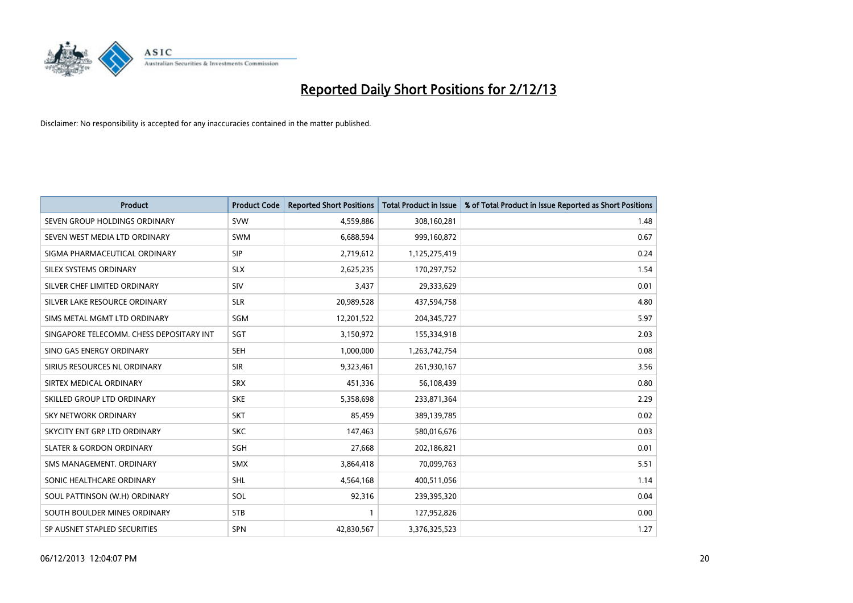

| <b>Product</b>                           | <b>Product Code</b> | <b>Reported Short Positions</b> | <b>Total Product in Issue</b> | % of Total Product in Issue Reported as Short Positions |
|------------------------------------------|---------------------|---------------------------------|-------------------------------|---------------------------------------------------------|
| SEVEN GROUP HOLDINGS ORDINARY            | <b>SVW</b>          | 4,559,886                       | 308,160,281                   | 1.48                                                    |
| SEVEN WEST MEDIA LTD ORDINARY            | <b>SWM</b>          | 6,688,594                       | 999,160,872                   | 0.67                                                    |
| SIGMA PHARMACEUTICAL ORDINARY            | <b>SIP</b>          | 2,719,612                       | 1,125,275,419                 | 0.24                                                    |
| SILEX SYSTEMS ORDINARY                   | <b>SLX</b>          | 2,625,235                       | 170,297,752                   | 1.54                                                    |
| SILVER CHEF LIMITED ORDINARY             | SIV                 | 3,437                           | 29,333,629                    | 0.01                                                    |
| SILVER LAKE RESOURCE ORDINARY            | <b>SLR</b>          | 20,989,528                      | 437,594,758                   | 4.80                                                    |
| SIMS METAL MGMT LTD ORDINARY             | SGM                 | 12,201,522                      | 204,345,727                   | 5.97                                                    |
| SINGAPORE TELECOMM. CHESS DEPOSITARY INT | SGT                 | 3,150,972                       | 155,334,918                   | 2.03                                                    |
| SINO GAS ENERGY ORDINARY                 | <b>SEH</b>          | 1,000,000                       | 1,263,742,754                 | 0.08                                                    |
| SIRIUS RESOURCES NL ORDINARY             | <b>SIR</b>          | 9,323,461                       | 261,930,167                   | 3.56                                                    |
| SIRTEX MEDICAL ORDINARY                  | <b>SRX</b>          | 451,336                         | 56,108,439                    | 0.80                                                    |
| SKILLED GROUP LTD ORDINARY               | <b>SKE</b>          | 5,358,698                       | 233,871,364                   | 2.29                                                    |
| <b>SKY NETWORK ORDINARY</b>              | <b>SKT</b>          | 85,459                          | 389,139,785                   | 0.02                                                    |
| SKYCITY ENT GRP LTD ORDINARY             | <b>SKC</b>          | 147,463                         | 580,016,676                   | 0.03                                                    |
| <b>SLATER &amp; GORDON ORDINARY</b>      | SGH                 | 27,668                          | 202,186,821                   | 0.01                                                    |
| SMS MANAGEMENT. ORDINARY                 | <b>SMX</b>          | 3,864,418                       | 70,099,763                    | 5.51                                                    |
| SONIC HEALTHCARE ORDINARY                | <b>SHL</b>          | 4,564,168                       | 400,511,056                   | 1.14                                                    |
| SOUL PATTINSON (W.H) ORDINARY            | SOL                 | 92,316                          | 239,395,320                   | 0.04                                                    |
| SOUTH BOULDER MINES ORDINARY             | <b>STB</b>          | 1                               | 127,952,826                   | 0.00                                                    |
| SP AUSNET STAPLED SECURITIES             | SPN                 | 42,830,567                      | 3,376,325,523                 | 1.27                                                    |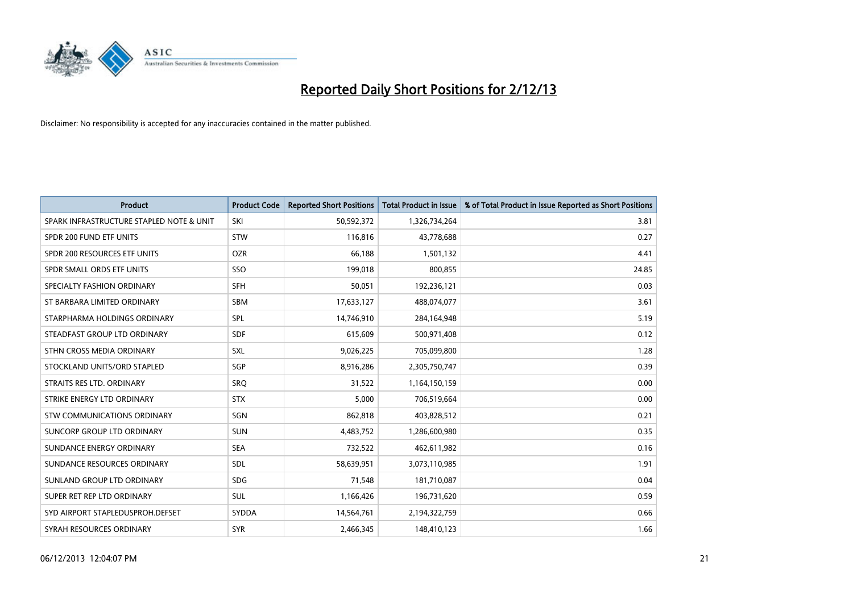

| <b>Product</b>                           | <b>Product Code</b> | <b>Reported Short Positions</b> | <b>Total Product in Issue</b> | % of Total Product in Issue Reported as Short Positions |
|------------------------------------------|---------------------|---------------------------------|-------------------------------|---------------------------------------------------------|
| SPARK INFRASTRUCTURE STAPLED NOTE & UNIT | SKI                 | 50,592,372                      | 1,326,734,264                 | 3.81                                                    |
| SPDR 200 FUND ETF UNITS                  | <b>STW</b>          | 116,816                         | 43,778,688                    | 0.27                                                    |
| SPDR 200 RESOURCES ETF UNITS             | <b>OZR</b>          | 66,188                          | 1,501,132                     | 4.41                                                    |
| SPDR SMALL ORDS ETF UNITS                | SSO                 | 199,018                         | 800,855                       | 24.85                                                   |
| SPECIALTY FASHION ORDINARY               | <b>SFH</b>          | 50,051                          | 192,236,121                   | 0.03                                                    |
| ST BARBARA LIMITED ORDINARY              | SBM                 | 17,633,127                      | 488,074,077                   | 3.61                                                    |
| STARPHARMA HOLDINGS ORDINARY             | SPL                 | 14,746,910                      | 284,164,948                   | 5.19                                                    |
| STEADFAST GROUP LTD ORDINARY             | <b>SDF</b>          | 615,609                         | 500,971,408                   | 0.12                                                    |
| STHN CROSS MEDIA ORDINARY                | <b>SXL</b>          | 9,026,225                       | 705,099,800                   | 1.28                                                    |
| STOCKLAND UNITS/ORD STAPLED              | SGP                 | 8,916,286                       | 2,305,750,747                 | 0.39                                                    |
| STRAITS RES LTD. ORDINARY                | SRQ                 | 31,522                          | 1,164,150,159                 | 0.00                                                    |
| STRIKE ENERGY LTD ORDINARY               | <b>STX</b>          | 5,000                           | 706,519,664                   | 0.00                                                    |
| STW COMMUNICATIONS ORDINARY              | SGN                 | 862,818                         | 403,828,512                   | 0.21                                                    |
| <b>SUNCORP GROUP LTD ORDINARY</b>        | <b>SUN</b>          | 4,483,752                       | 1,286,600,980                 | 0.35                                                    |
| SUNDANCE ENERGY ORDINARY                 | <b>SEA</b>          | 732,522                         | 462,611,982                   | 0.16                                                    |
| SUNDANCE RESOURCES ORDINARY              | SDL                 | 58,639,951                      | 3,073,110,985                 | 1.91                                                    |
| SUNLAND GROUP LTD ORDINARY               | <b>SDG</b>          | 71,548                          | 181,710,087                   | 0.04                                                    |
| SUPER RET REP LTD ORDINARY               | <b>SUL</b>          | 1,166,426                       | 196,731,620                   | 0.59                                                    |
| SYD AIRPORT STAPLEDUSPROH.DEFSET         | SYDDA               | 14,564,761                      | 2,194,322,759                 | 0.66                                                    |
| SYRAH RESOURCES ORDINARY                 | <b>SYR</b>          | 2,466,345                       | 148,410,123                   | 1.66                                                    |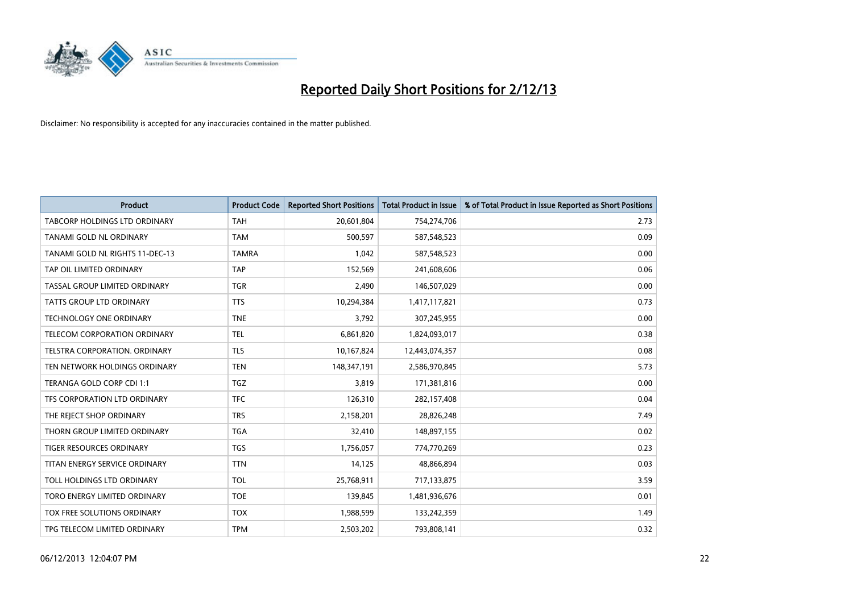

| <b>Product</b>                       | <b>Product Code</b> | <b>Reported Short Positions</b> | <b>Total Product in Issue</b> | % of Total Product in Issue Reported as Short Positions |
|--------------------------------------|---------------------|---------------------------------|-------------------------------|---------------------------------------------------------|
| <b>TABCORP HOLDINGS LTD ORDINARY</b> | <b>TAH</b>          | 20,601,804                      | 754,274,706                   | 2.73                                                    |
| TANAMI GOLD NL ORDINARY              | <b>TAM</b>          | 500,597                         | 587,548,523                   | 0.09                                                    |
| TANAMI GOLD NL RIGHTS 11-DEC-13      | <b>TAMRA</b>        | 1,042                           | 587,548,523                   | 0.00                                                    |
| TAP OIL LIMITED ORDINARY             | <b>TAP</b>          | 152,569                         | 241,608,606                   | 0.06                                                    |
| TASSAL GROUP LIMITED ORDINARY        | <b>TGR</b>          | 2,490                           | 146,507,029                   | 0.00                                                    |
| <b>TATTS GROUP LTD ORDINARY</b>      | <b>TTS</b>          | 10,294,384                      | 1,417,117,821                 | 0.73                                                    |
| <b>TECHNOLOGY ONE ORDINARY</b>       | <b>TNE</b>          | 3,792                           | 307,245,955                   | 0.00                                                    |
| TELECOM CORPORATION ORDINARY         | <b>TEL</b>          | 6,861,820                       | 1,824,093,017                 | 0.38                                                    |
| TELSTRA CORPORATION, ORDINARY        | <b>TLS</b>          | 10,167,824                      | 12,443,074,357                | 0.08                                                    |
| TEN NETWORK HOLDINGS ORDINARY        | <b>TEN</b>          | 148,347,191                     | 2,586,970,845                 | 5.73                                                    |
| TERANGA GOLD CORP CDI 1:1            | TGZ                 | 3,819                           | 171,381,816                   | 0.00                                                    |
| TFS CORPORATION LTD ORDINARY         | <b>TFC</b>          | 126,310                         | 282,157,408                   | 0.04                                                    |
| THE REJECT SHOP ORDINARY             | <b>TRS</b>          | 2,158,201                       | 28,826,248                    | 7.49                                                    |
| THORN GROUP LIMITED ORDINARY         | <b>TGA</b>          | 32,410                          | 148,897,155                   | 0.02                                                    |
| <b>TIGER RESOURCES ORDINARY</b>      | <b>TGS</b>          | 1,756,057                       | 774,770,269                   | 0.23                                                    |
| TITAN ENERGY SERVICE ORDINARY        | <b>TTN</b>          | 14,125                          | 48,866,894                    | 0.03                                                    |
| TOLL HOLDINGS LTD ORDINARY           | <b>TOL</b>          | 25,768,911                      | 717,133,875                   | 3.59                                                    |
| TORO ENERGY LIMITED ORDINARY         | <b>TOE</b>          | 139,845                         | 1,481,936,676                 | 0.01                                                    |
| TOX FREE SOLUTIONS ORDINARY          | <b>TOX</b>          | 1,988,599                       | 133,242,359                   | 1.49                                                    |
| TPG TELECOM LIMITED ORDINARY         | <b>TPM</b>          | 2,503,202                       | 793,808,141                   | 0.32                                                    |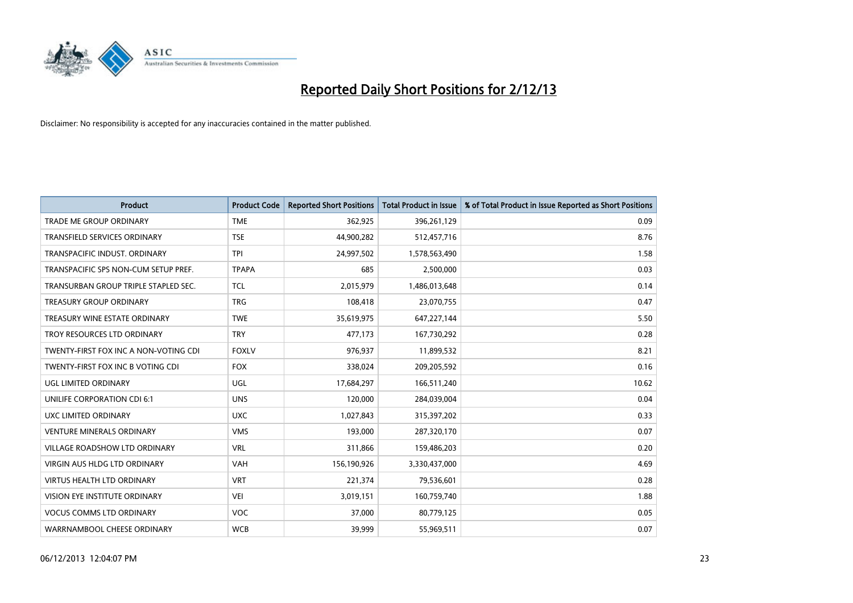

| <b>Product</b>                        | <b>Product Code</b> | <b>Reported Short Positions</b> | <b>Total Product in Issue</b> | % of Total Product in Issue Reported as Short Positions |
|---------------------------------------|---------------------|---------------------------------|-------------------------------|---------------------------------------------------------|
| <b>TRADE ME GROUP ORDINARY</b>        | <b>TME</b>          | 362,925                         | 396,261,129                   | 0.09                                                    |
| TRANSFIELD SERVICES ORDINARY          | <b>TSE</b>          | 44,900,282                      | 512,457,716                   | 8.76                                                    |
| TRANSPACIFIC INDUST, ORDINARY         | <b>TPI</b>          | 24,997,502                      | 1,578,563,490                 | 1.58                                                    |
| TRANSPACIFIC SPS NON-CUM SETUP PREF.  | <b>TPAPA</b>        | 685                             | 2,500,000                     | 0.03                                                    |
| TRANSURBAN GROUP TRIPLE STAPLED SEC.  | TCL                 | 2,015,979                       | 1,486,013,648                 | 0.14                                                    |
| <b>TREASURY GROUP ORDINARY</b>        | <b>TRG</b>          | 108,418                         | 23,070,755                    | 0.47                                                    |
| TREASURY WINE ESTATE ORDINARY         | <b>TWE</b>          | 35,619,975                      | 647,227,144                   | 5.50                                                    |
| TROY RESOURCES LTD ORDINARY           | <b>TRY</b>          | 477,173                         | 167,730,292                   | 0.28                                                    |
| TWENTY-FIRST FOX INC A NON-VOTING CDI | <b>FOXLV</b>        | 976,937                         | 11,899,532                    | 8.21                                                    |
| TWENTY-FIRST FOX INC B VOTING CDI     | <b>FOX</b>          | 338,024                         | 209,205,592                   | 0.16                                                    |
| UGL LIMITED ORDINARY                  | UGL                 | 17,684,297                      | 166,511,240                   | 10.62                                                   |
| UNILIFE CORPORATION CDI 6:1           | <b>UNS</b>          | 120,000                         | 284,039,004                   | 0.04                                                    |
| UXC LIMITED ORDINARY                  | <b>UXC</b>          | 1,027,843                       | 315,397,202                   | 0.33                                                    |
| <b>VENTURE MINERALS ORDINARY</b>      | <b>VMS</b>          | 193,000                         | 287,320,170                   | 0.07                                                    |
| <b>VILLAGE ROADSHOW LTD ORDINARY</b>  | <b>VRL</b>          | 311,866                         | 159,486,203                   | 0.20                                                    |
| <b>VIRGIN AUS HLDG LTD ORDINARY</b>   | <b>VAH</b>          | 156,190,926                     | 3,330,437,000                 | 4.69                                                    |
| VIRTUS HEALTH LTD ORDINARY            | <b>VRT</b>          | 221,374                         | 79,536,601                    | 0.28                                                    |
| VISION EYE INSTITUTE ORDINARY         | <b>VEI</b>          | 3,019,151                       | 160,759,740                   | 1.88                                                    |
| <b>VOCUS COMMS LTD ORDINARY</b>       | <b>VOC</b>          | 37,000                          | 80,779,125                    | 0.05                                                    |
| WARRNAMBOOL CHEESE ORDINARY           | <b>WCB</b>          | 39,999                          | 55,969,511                    | 0.07                                                    |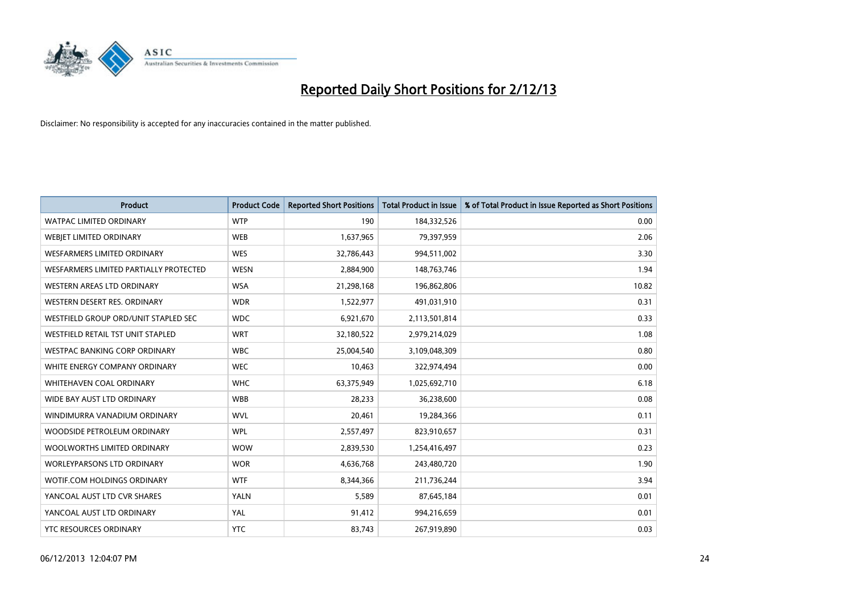

| <b>Product</b>                         | <b>Product Code</b> | <b>Reported Short Positions</b> | <b>Total Product in Issue</b> | % of Total Product in Issue Reported as Short Positions |
|----------------------------------------|---------------------|---------------------------------|-------------------------------|---------------------------------------------------------|
| <b>WATPAC LIMITED ORDINARY</b>         | <b>WTP</b>          | 190                             | 184,332,526                   | 0.00                                                    |
| WEBJET LIMITED ORDINARY                | <b>WEB</b>          | 1,637,965                       | 79,397,959                    | 2.06                                                    |
| WESFARMERS LIMITED ORDINARY            | <b>WES</b>          | 32,786,443                      | 994,511,002                   | 3.30                                                    |
| WESFARMERS LIMITED PARTIALLY PROTECTED | <b>WESN</b>         | 2,884,900                       | 148,763,746                   | 1.94                                                    |
| WESTERN AREAS LTD ORDINARY             | <b>WSA</b>          | 21,298,168                      | 196,862,806                   | 10.82                                                   |
| WESTERN DESERT RES. ORDINARY           | <b>WDR</b>          | 1,522,977                       | 491,031,910                   | 0.31                                                    |
| WESTFIELD GROUP ORD/UNIT STAPLED SEC   | <b>WDC</b>          | 6,921,670                       | 2,113,501,814                 | 0.33                                                    |
| WESTFIELD RETAIL TST UNIT STAPLED      | <b>WRT</b>          | 32,180,522                      | 2,979,214,029                 | 1.08                                                    |
| <b>WESTPAC BANKING CORP ORDINARY</b>   | <b>WBC</b>          | 25,004,540                      | 3,109,048,309                 | 0.80                                                    |
| WHITE ENERGY COMPANY ORDINARY          | <b>WEC</b>          | 10,463                          | 322,974,494                   | 0.00                                                    |
| WHITEHAVEN COAL ORDINARY               | <b>WHC</b>          | 63,375,949                      | 1,025,692,710                 | 6.18                                                    |
| WIDE BAY AUST LTD ORDINARY             | <b>WBB</b>          | 28,233                          | 36,238,600                    | 0.08                                                    |
| WINDIMURRA VANADIUM ORDINARY           | <b>WVL</b>          | 20,461                          | 19,284,366                    | 0.11                                                    |
| WOODSIDE PETROLEUM ORDINARY            | <b>WPL</b>          | 2,557,497                       | 823,910,657                   | 0.31                                                    |
| WOOLWORTHS LIMITED ORDINARY            | <b>WOW</b>          | 2,839,530                       | 1,254,416,497                 | 0.23                                                    |
| <b>WORLEYPARSONS LTD ORDINARY</b>      | <b>WOR</b>          | 4,636,768                       | 243,480,720                   | 1.90                                                    |
| WOTIF.COM HOLDINGS ORDINARY            | <b>WTF</b>          | 8,344,366                       | 211,736,244                   | 3.94                                                    |
| YANCOAL AUST LTD CVR SHARES            | YALN                | 5,589                           | 87,645,184                    | 0.01                                                    |
| YANCOAL AUST LTD ORDINARY              | YAL                 | 91,412                          | 994,216,659                   | 0.01                                                    |
| YTC RESOURCES ORDINARY                 | <b>YTC</b>          | 83,743                          | 267,919,890                   | 0.03                                                    |